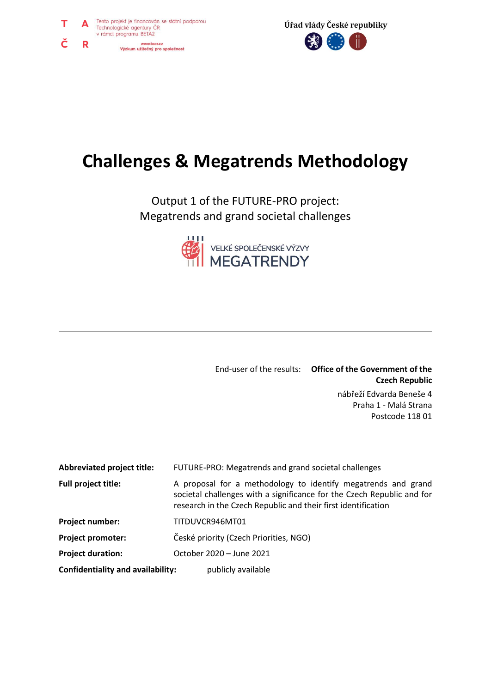



# **Challenges & Megatrends Methodology**

Output 1 of the FUTURE-PRO project: Megatrends and grand societal challenges



End-user of the results: **Office of the Government of the Czech Republic** nábřeží Edvarda Beneše 4 Praha 1 - Malá Strana Postcode 118 01

**Abbreviated project title:** FUTURE-PRO: Megatrends and grand societal challenges **Full project title:** A proposal for a methodology to identify megatrends and grand societal challenges with a significance for the Czech Republic and for research in the Czech Republic and their first identification **Project number:** TITDUVCR946MT01 **Project promoter:** České priority (Czech Priorities, NGO) **Project duration:** October 2020 – June 2021 **Confidentiality and availability:** [publicly available](https://www.tacr.cz/projekt-future-pro-megatrendy-a-velke-spolecenske-vyzvy/)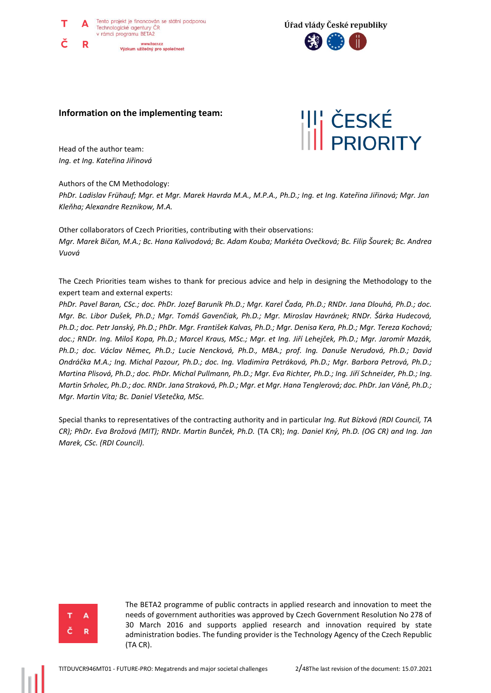



#### **Information on the implementing team:**



Head of the author team: *Ing. et Ing. Kateřina Jiřinová*

Authors of the CM Methodology:

*PhDr. Ladislav Frühauf; Mgr. et Mgr. Marek Havrda M.A., M.P.A., Ph.D.; Ing. et Ing. Kateřina Jiřinová; Mgr. Jan Kleňha; Alexandre Reznikow, M.A.*

Other collaborators of Czech Priorities, contributing with their observations: *Mgr. Marek Bičan, M.A.; Bc. Hana Kalivodová; Bc. Adam Kouba; Markéta Ovečková; Bc. Filip Šourek; Bc. Andrea Vuová*

The Czech Priorities team wishes to thank for precious advice and help in designing the Methodology to the expert team and external experts:

*PhDr. Pavel Baran, CSc.; doc. PhDr. Jozef Baruník Ph.D.; Mgr. Karel Čada, Ph.D.; RNDr. Jana Dlouhá, Ph.D.; doc. Mgr. Bc. Libor Dušek, Ph.D.; Mgr. Tomáš Gavenčiak, Ph.D.; Mgr. Miroslav Havránek; RNDr. Šárka Hudecová, Ph.D.; doc. Petr Janský, Ph.D.; PhDr. Mgr. František Kalvas, Ph.D.; Mgr. Denisa Kera, Ph.D.; Mgr. Tereza Kochová; doc.; RNDr. Ing. Miloš Kopa, Ph.D.; Marcel Kraus, MSc.; Mgr. et Ing. Jiří Lehejček, Ph.D.; Mgr. Jaromír Mazák, Ph.D.; doc. Václav Němec, Ph.D.; Lucie Nencková, Ph.D., MBA.; prof. Ing. Danuše Nerudová, Ph.D.; David Ondráčka M.A.; Ing. Michal Pazour, Ph.D.; doc. Ing. Vladimíra Petráková, Ph.D.; Mgr. Barbora Petrová, Ph.D.; Martina Plisová, Ph.D.; doc. PhDr. Michal Pullmann, Ph.D.; Mgr. Eva Richter, Ph.D.; Ing. Jiří Schneider, Ph.D.; Ing. Martin Srholec, Ph.D.; doc. RNDr. Jana Straková, Ph.D.; Mgr. et Mgr. Hana Tenglerová; doc. PhDr. Jan Váně, Ph.D.; Mgr. Martin Víta; Bc. Daniel Všetečka, MSc.*

Special thanks to representatives of the contracting authority and in particular *Ing. Rut Bízková (RDI Council, TA CR); PhDr. Eva Brožová (MIT); RNDr. Martin Bunček, Ph.D.* (TA CR); *Ing. Daniel Kný, Ph.D. (OG CR) and Ing. Jan Marek, CSc. (RDI Council).* 



The BETA2 programme of public contracts in applied research and innovation to meet the needs of government authorities was approved by Czech Government Resolution No 278 of 30 March 2016 and supports applied research and innovation required by state administration bodies. The funding provider is the Technology Agency of the Czech Republic (TA CR).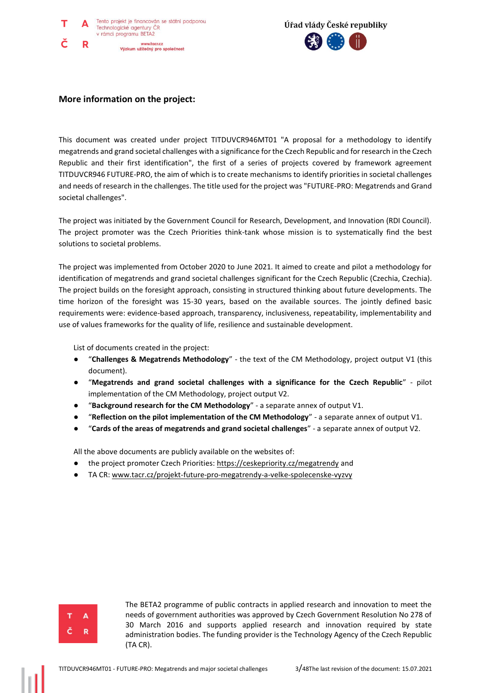



#### **More information on the project:**

This document was created under project TITDUVCR946MT01 "A proposal for a methodology to identify megatrends and grand societal challenges with a significance for the Czech Republic and for research in the Czech Republic and their first identification", the first of a series of projects covered by framework agreement TITDUVCR946 FUTURE-PRO, the aim of which is to create mechanisms to identify priorities in societal challenges and needs of research in the challenges. The title used for the project was "FUTURE-PRO: Megatrends and Grand societal challenges".

The project was initiated by the Government Council for Research, Development, and Innovation (RDI Council). The project promoter was the Czech Priorities think-tank whose mission is to systematically find the best solutions to societal problems.

The project was implemented from October 2020 to June 2021. It aimed to create and pilot a methodology for identification of megatrends and grand societal challenges significant for the Czech Republic (Czechia, Czechia). The project builds on the foresight approach, consisting in structured thinking about future developments. The time horizon of the foresight was 15-30 years, based on the available sources. The jointly defined basic requirements were: evidence-based approach, transparency, inclusiveness, repeatability, implementability and use of values frameworks for the quality of life, resilience and sustainable development.

List of documents created in the project:

- "**Challenges & Megatrends Methodology**" the text of the CM Methodology, project output V1 (this document).
- "**Megatrends and grand societal challenges with a significance for the Czech Republic**" pilot implementation of the CM Methodology, project output V2.
- "Background research for the CM Methodology" a separate annex of output V1.
- "**Reflection on the pilot implementation of the CM Methodology**" a separate annex of output V1.
- "**Cards of the areas of megatrends and grand societal challenges**" a separate annex of output V2.

All the above documents are publicly available on the websites of:

- the project promoter Czech Priorities:<https://ceskepriority.cz/megatrendy> and
- TA CR: [www.tacr.cz/projekt-future-pro-megatrendy-a-velke-spolecenske-vyzvy](http://www.tacr.cz/projekt-future-pro-megatrendy-a-velke-spolecenske-vyzvy)



The BETA2 programme of public contracts in applied research and innovation to meet the needs of government authorities was approved by Czech Government Resolution No 278 of 30 March 2016 and supports applied research and innovation required by state administration bodies. The funding provider is the Technology Agency of the Czech Republic (TA CR).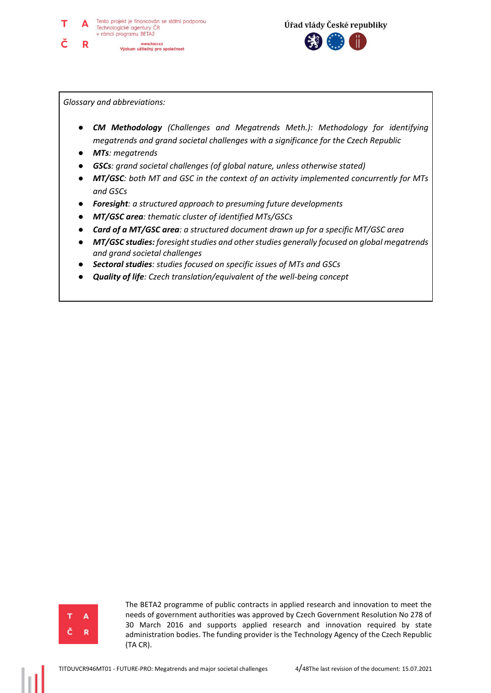

*Glossary and abbreviations:*

- *CM Methodology (Challenges and Megatrends Meth.): Methodology for identifying megatrends and grand societal challenges with a significance for the Czech Republic*
- *MTs: megatrends*
- *GSCs: grand societal challenges (of global nature, unless otherwise stated)*
- *MT/GSC: both MT and GSC in the context of an activity implemented concurrently for MTs and GSCs*
- *Foresight: a structured approach to presuming future developments*
- *MT/GSC area: thematic cluster of identified MTs/GSCs*
- *Card of a MT/GSC area: a structured document drawn up for a specific MT/GSC area*
- *MT/GSC studies: foresight studies and other studies generally focused on global megatrends and grand societal challenges*
- *Sectoral studies: studies focused on specific issues of MTs and GSCs*
- *Quality of life: Czech translation/equivalent of the well-being concept*



The BETA2 programme of public contracts in applied research and innovation to meet the needs of government authorities was approved by Czech Government Resolution No 278 of 30 March 2016 and supports applied research and innovation required by state administration bodies. The funding provider is the Technology Agency of the Czech Republic (TA CR).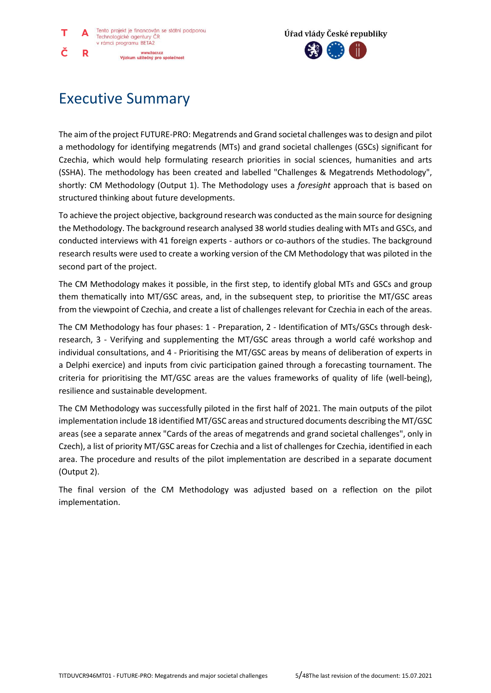

# Executive Summary

т

Č

The aim of the project FUTURE-PRO: Megatrends and Grand societal challenges was to design and pilot a methodology for identifying megatrends (MTs) and grand societal challenges (GSCs) significant for Czechia, which would help formulating research priorities in social sciences, humanities and arts (SSHA). The methodology has been created and labelled "Challenges & Megatrends Methodology", shortly: CM Methodology (Output 1). The Methodology uses a *foresight* approach that is based on structured thinking about future developments.

To achieve the project objective, background research was conducted as the main source for designing the Methodology. The background research analysed 38 world studies dealing with MTs and GSCs, and conducted interviews with 41 foreign experts - authors or co-authors of the studies. The background research results were used to create a working version of the CM Methodology that was piloted in the second part of the project.

The CM Methodology makes it possible, in the first step, to identify global MTs and GSCs and group them thematically into MT/GSC areas, and, in the subsequent step, to prioritise the MT/GSC areas from the viewpoint of Czechia, and create a list of challenges relevant for Czechia in each of the areas.

The CM Methodology has four phases: 1 - Preparation, 2 - Identification of MTs/GSCs through deskresearch, 3 - Verifying and supplementing the MT/GSC areas through a world café workshop and individual consultations, and 4 - Prioritising the MT/GSC areas by means of deliberation of experts in a Delphi exercice) and inputs from civic participation gained through a forecasting tournament. The criteria for prioritising the MT/GSC areas are the values frameworks of quality of life (well-being), resilience and sustainable development.

The CM Methodology was successfully piloted in the first half of 2021. The main outputs of the pilot implementation include 18 identified MT/GSC areas and structured documents describing the MT/GSC areas (see a separate annex "Cards of the areas of megatrends and grand societal challenges", only in Czech), a list of priority MT/GSC areas for Czechia and a list of challenges for Czechia, identified in each area. The procedure and results of the pilot implementation are described in a separate document (Output 2).

The final version of the CM Methodology was adjusted based on a reflection on the pilot implementation.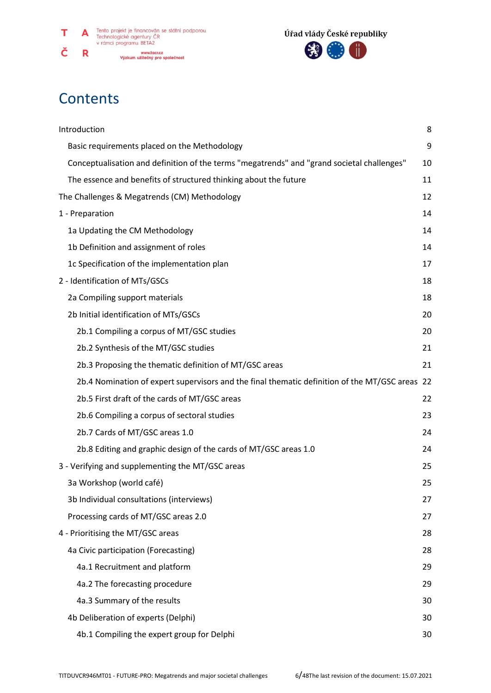

# **Contents**

| Introduction                                                                                   | 8  |
|------------------------------------------------------------------------------------------------|----|
| Basic requirements placed on the Methodology                                                   | 9  |
| Conceptualisation and definition of the terms "megatrends" and "grand societal challenges"     | 10 |
| The essence and benefits of structured thinking about the future                               | 11 |
| The Challenges & Megatrends (CM) Methodology                                                   | 12 |
| 1 - Preparation                                                                                | 14 |
| 1a Updating the CM Methodology                                                                 | 14 |
| 1b Definition and assignment of roles                                                          | 14 |
| 1c Specification of the implementation plan                                                    | 17 |
| 2 - Identification of MTs/GSCs                                                                 | 18 |
| 2a Compiling support materials                                                                 | 18 |
| 2b Initial identification of MTs/GSCs                                                          | 20 |
| 2b.1 Compiling a corpus of MT/GSC studies                                                      | 20 |
| 2b.2 Synthesis of the MT/GSC studies                                                           | 21 |
| 2b.3 Proposing the thematic definition of MT/GSC areas                                         | 21 |
| 2b.4 Nomination of expert supervisors and the final thematic definition of the MT/GSC areas 22 |    |
| 2b.5 First draft of the cards of MT/GSC areas                                                  | 22 |
| 2b.6 Compiling a corpus of sectoral studies                                                    | 23 |
| 2b.7 Cards of MT/GSC areas 1.0                                                                 | 24 |
| 2b.8 Editing and graphic design of the cards of MT/GSC areas 1.0                               | 24 |
| 3 - Verifying and supplementing the MT/GSC areas                                               | 25 |
| 3a Workshop (world café)                                                                       | 25 |
| 3b Individual consultations (interviews)                                                       | 27 |
| Processing cards of MT/GSC areas 2.0                                                           | 27 |
| 4 - Prioritising the MT/GSC areas                                                              | 28 |
| 4a Civic participation (Forecasting)                                                           | 28 |
| 4a.1 Recruitment and platform                                                                  | 29 |
| 4a.2 The forecasting procedure                                                                 | 29 |
| 4a.3 Summary of the results                                                                    | 30 |
| 4b Deliberation of experts (Delphi)                                                            | 30 |
| 4b.1 Compiling the expert group for Delphi                                                     | 30 |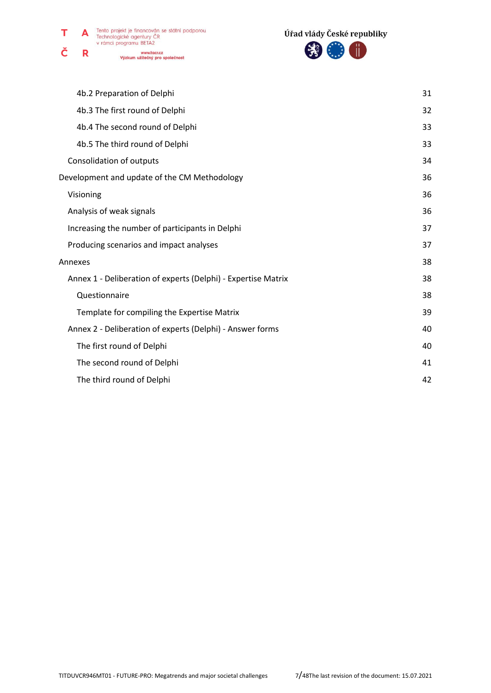

|           | 4b.2 Preparation of Delphi                                    | 31 |
|-----------|---------------------------------------------------------------|----|
|           | 4b.3 The first round of Delphi                                | 32 |
|           | 4b.4 The second round of Delphi                               | 33 |
|           | 4b.5 The third round of Delphi                                | 33 |
|           | Consolidation of outputs                                      | 34 |
|           | Development and update of the CM Methodology                  | 36 |
| Visioning |                                                               | 36 |
|           | Analysis of weak signals                                      | 36 |
|           | Increasing the number of participants in Delphi               | 37 |
|           | Producing scenarios and impact analyses                       | 37 |
| Annexes   |                                                               | 38 |
|           | Annex 1 - Deliberation of experts (Delphi) - Expertise Matrix | 38 |
|           | Questionnaire                                                 | 38 |
|           | Template for compiling the Expertise Matrix                   | 39 |
|           | Annex 2 - Deliberation of experts (Delphi) - Answer forms     | 40 |
|           | The first round of Delphi                                     | 40 |
|           | The second round of Delphi                                    | 41 |
|           | The third round of Delphi                                     | 42 |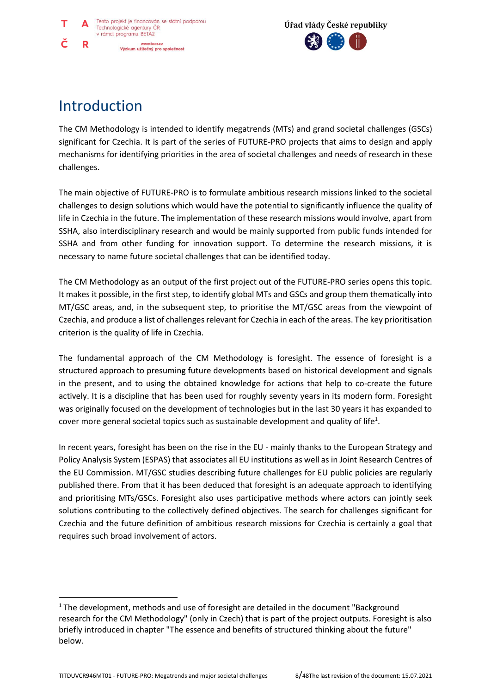Tento projekt je financován se státní podporou Tento projekt je financován<br>Technologické agentury ČR<br>W rámci programu BETA2 v rámci programu BETA2 Č www.tacr.cz<br>Výzkum užitečný pro společnost R



# <span id="page-7-0"></span>Introduction

The CM Methodology is intended to identify megatrends (MTs) and grand societal challenges (GSCs) significant for Czechia. It is part of the series of FUTURE-PRO projects that aims to design and apply mechanisms for identifying priorities in the area of societal challenges and needs of research in these challenges.

The main objective of FUTURE-PRO is to formulate ambitious research missions linked to the societal challenges to design solutions which would have the potential to significantly influence the quality of life in Czechia in the future. The implementation of these research missions would involve, apart from SSHA, also interdisciplinary research and would be mainly supported from public funds intended for SSHA and from other funding for innovation support. To determine the research missions, it is necessary to name future societal challenges that can be identified today.

The CM Methodology as an output of the first project out of the FUTURE-PRO series opens this topic. It makes it possible, in the first step, to identify global MTs and GSCs and group them thematically into MT/GSC areas, and, in the subsequent step, to prioritise the MT/GSC areas from the viewpoint of Czechia, and produce a list of challenges relevant for Czechia in each of the areas. The key prioritisation criterion is the quality of life in Czechia.

The fundamental approach of the CM Methodology is foresight. The essence of foresight is a structured approach to presuming future developments based on historical development and signals in the present, and to using the obtained knowledge for actions that help to co-create the future actively. It is a discipline that has been used for roughly seventy years in its modern form. Foresight was originally focused on the development of technologies but in the last 30 years it has expanded to cover more general societal topics such as sustainable development and quality of life<sup>1</sup>.

In recent years, foresight has been on the rise in the EU - mainly thanks to the European Strategy and Policy Analysis System (ESPAS) that associates all EU institutions as well as in Joint Research Centres of the EU Commission. MT/GSC studies describing future challenges for EU public policies are regularly published there. From that it has been deduced that foresight is an adequate approach to identifying and prioritising MTs/GSCs. Foresight also uses participative methods where actors can jointly seek solutions contributing to the collectively defined objectives. The search for challenges significant for Czechia and the future definition of ambitious research missions for Czechia is certainly a goal that requires such broad involvement of actors.

 $1$  The development, methods and use of foresight are detailed in the document "Background research for the CM Methodology" (only in Czech) that is part of the project outputs. Foresight is also briefly introduced in chapter "The essence and benefits of structured thinking about the future" below.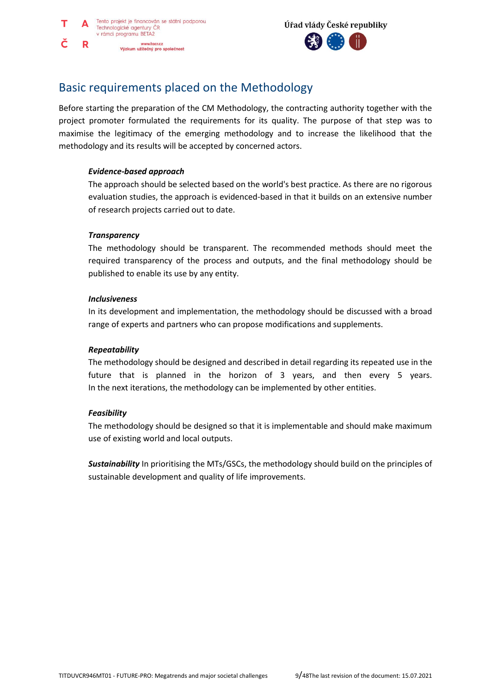

### <span id="page-8-0"></span>Basic requirements placed on the Methodology

Before starting the preparation of the CM Methodology, the contracting authority together with the project promoter formulated the requirements for its quality. The purpose of that step was to maximise the legitimacy of the emerging methodology and to increase the likelihood that the methodology and its results will be accepted by concerned actors.

#### *Evidence-based approach*

The approach should be selected based on the world's best practice. As there are no rigorous evaluation studies, the approach is evidenced-based in that it builds on an extensive number of research projects carried out to date.

#### *Transparency*

The methodology should be transparent. The recommended methods should meet the required transparency of the process and outputs, and the final methodology should be published to enable its use by any entity.

#### *Inclusiveness*

In its development and implementation, the methodology should be discussed with a broad range of experts and partners who can propose modifications and supplements.

#### *Repeatability*

The methodology should be designed and described in detail regarding its repeated use in the future that is planned in the horizon of 3 years, and then every 5 years. In the next iterations, the methodology can be implemented by other entities.

#### *Feasibility*

The methodology should be designed so that it is implementable and should make maximum use of existing world and local outputs.

*Sustainability* In prioritising the MTs/GSCs, the methodology should build on the principles of sustainable development and quality of life improvements.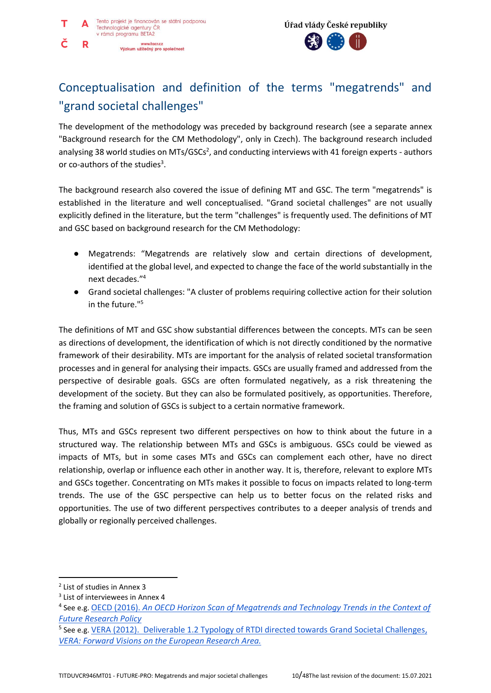# <span id="page-9-0"></span>Conceptualisation and definition of the terms "megatrends" and "grand societal challenges"

The development of the methodology was preceded by background research (see a separate annex "Background research for the CM Methodology", only in Czech). The background research included analysing 38 world studies on MTs/GSCs<sup>2</sup>, and conducting interviews with 41 foreign experts - authors or co-authors of the studies<sup>3</sup>.

The background research also covered the issue of defining MT and GSC. The term "megatrends" is established in the literature and well conceptualised. "Grand societal challenges" are not usually explicitly defined in the literature, but the term "challenges" is frequently used. The definitions of MT and GSC based on background research for the CM Methodology:

- Megatrends: "Megatrends are relatively slow and certain directions of development, identified at the global level, and expected to change the face of the world substantially in the next decades."<sup>4</sup>
- Grand societal challenges: "A cluster of problems requiring collective action for their solution in the future."<sup>5</sup>

The definitions of MT and GSC show substantial differences between the concepts. MTs can be seen as directions of development, the identification of which is not directly conditioned by the normative framework of their desirability. MTs are important for the analysis of related societal transformation processes and in general for analysing their impacts. GSCs are usually framed and addressed from the perspective of desirable goals. GSCs are often formulated negatively, as a risk threatening the development of the society. But they can also be formulated positively, as opportunities. Therefore, the framing and solution of GSCs is subject to a certain normative framework.

Thus, MTs and GSCs represent two different perspectives on how to think about the future in a structured way. The relationship between MTs and GSCs is ambiguous. GSCs could be viewed as impacts of MTs, but in some cases MTs and GSCs can complement each other, have no direct relationship, overlap or influence each other in another way. It is, therefore, relevant to explore MTs and GSCs together. Concentrating on MTs makes it possible to focus on impacts related to long-term trends. The use of the GSC perspective can help us to better focus on the related risks and opportunities. The use of two different perspectives contributes to a deeper analysis of trends and globally or regionally perceived challenges.

<sup>2</sup> List of studies in Annex 3

<sup>&</sup>lt;sup>3</sup> List of interviewees in Annex 4

<sup>4</sup> See e.g. [OECD \(2016\).](https://ufm.dk/en/publications/2016/files/an-oecd-horizon-scan-of-megatrends-and-technology-trends-in-the-context-of-future-research-policy.pdf) *[An OECD Horizon Scan of Megatrends and Technology Trends in the Context of](https://ufm.dk/en/publications/2016/files/an-oecd-horizon-scan-of-megatrends-and-technology-trends-in-the-context-of-future-research-policy.pdf)  [Future Research Policy](https://ufm.dk/en/publications/2016/files/an-oecd-horizon-scan-of-megatrends-and-technology-trends-in-the-context-of-future-research-policy.pdf)*

<sup>&</sup>lt;sup>5</sup> See e.g. [VERA \(2012\). Deliverable 1.2 Typology of RTDI directed towards Grand Societal Challenges,](http://eravisions.archiv.zsi.at/attach/D1_2_VERA_Stocktaking_and_Typlogy_WP1_final_version.pdf) *VERA: Forward Visions on the European Research Area.*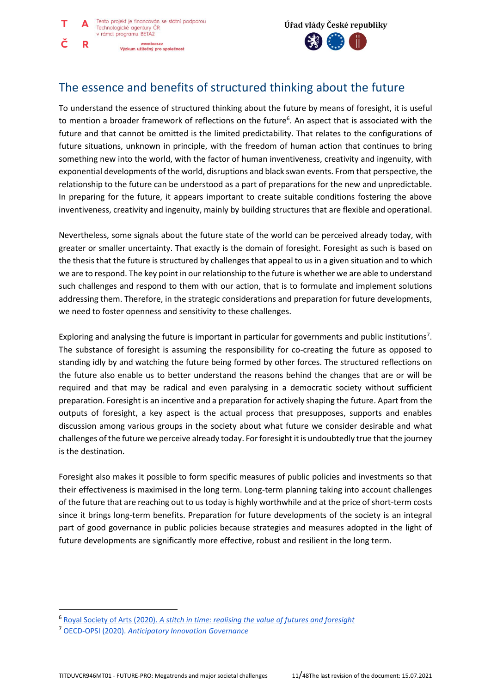

### <span id="page-10-0"></span>The essence and benefits of structured thinking about the future

To understand the essence of structured thinking about the future by means of foresight, it is useful to mention a broader framework of reflections on the future<sup>6</sup>. An aspect that is associated with the future and that cannot be omitted is the limited predictability. That relates to the configurations of future situations, unknown in principle, with the freedom of human action that continues to bring something new into the world, with the factor of human inventiveness, creativity and ingenuity, with exponential developments of the world, disruptions and black swan events. From that perspective, the relationship to the future can be understood as a part of preparations for the new and unpredictable. In preparing for the future, it appears important to create suitable conditions fostering the above inventiveness, creativity and ingenuity, mainly by building structures that are flexible and operational.

Nevertheless, some signals about the future state of the world can be perceived already today, with greater or smaller uncertainty. That exactly is the domain of foresight. Foresight as such is based on the thesis that the future is structured by challenges that appeal to us in a given situation and to which we are to respond. The key point in our relationship to the future is whether we are able to understand such challenges and respond to them with our action, that is to formulate and implement solutions addressing them. Therefore, in the strategic considerations and preparation for future developments, we need to foster openness and sensitivity to these challenges.

Exploring and analysing the future is important in particular for governments and public institutions<sup>7</sup>. The substance of foresight is assuming the responsibility for co-creating the future as opposed to standing idly by and watching the future being formed by other forces. The structured reflections on the future also enable us to better understand the reasons behind the changes that are or will be required and that may be radical and even paralysing in a democratic society without sufficient preparation. Foresight is an incentive and a preparation for actively shaping the future. Apart from the outputs of foresight, a key aspect is the actual process that presupposes, supports and enables discussion among various groups in the society about what future we consider desirable and what challenges of the future we perceive already today. For foresight it is undoubtedly true that the journey is the destination.

Foresight also makes it possible to form specific measures of public policies and investments so that their effectiveness is maximised in the long term. Long-term planning taking into account challenges of the future that are reaching out to us today is highly worthwhile and at the price of short-term costs since it brings long-term benefits. Preparation for future developments of the society is an integral part of good governance in public policies because strategies and measures adopted in the light of future developments are significantly more effective, robust and resilient in the long term.

<sup>6</sup> [Royal Society of Arts \(2020\).](https://www.thersa.org/reports/futures-thinking-foresight) *[A stitch in time: realising the value of futures and foresight](https://www.thersa.org/reports/futures-thinking-foresight)*

<sup>7</sup> [OECD-OPSI \(2020\).](https://oecd-opsi.org/wp-content/uploads/2020/11/AnticipatoryInnovationGovernance-Note-Nov2020.pdf) *[Anticipatory Innovation Governance](https://oecd-opsi.org/wp-content/uploads/2020/11/AnticipatoryInnovationGovernance-Note-Nov2020.pdf)*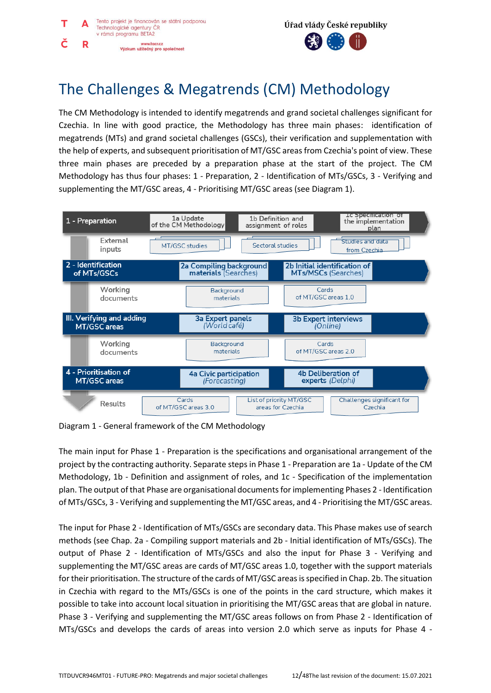# <span id="page-11-0"></span>The Challenges & Megatrends (CM) Methodology

The CM Methodology is intended to identify megatrends and grand societal challenges significant for Czechia. In line with good practice, the Methodology has three main phases: identification of megatrends (MTs) and grand societal challenges (GSCs), their verification and supplementation with the help of experts, and subsequent prioritisation of MT/GSC areas from Czechia's point of view. These three main phases are preceded by a preparation phase at the start of the project. The CM Methodology has thus four phases: 1 - Preparation, 2 - Identification of MTs/GSCs, 3 - Verifying and supplementing the MT/GSC areas, 4 - Prioritising MT/GSC areas (see Diagram 1).



Diagram 1 - General framework of the CM Methodology

The main input for Phase 1 - Preparation is the specifications and organisational arrangement of the project by the contracting authority. Separate steps in Phase 1 - Preparation are 1a - Update of the CM Methodology, 1b - Definition and assignment of roles, and 1c - Specification of the implementation plan. The output of that Phase are organisational documents for implementing Phases 2 - Identification of MTs/GSCs, 3 - Verifying and supplementing the MT/GSC areas, and 4 - Prioritising the MT/GSC areas.

The input for Phase 2 - Identification of MTs/GSCs are secondary data. This Phase makes use of search methods (see Chap. 2a - Compiling support materials and 2b - Initial identification of MTs/GSCs). The output of Phase 2 - Identification of MTs/GSCs and also the input for Phase 3 - Verifying and supplementing the MT/GSC areas are cards of MT/GSC areas 1.0, together with the support materials for their prioritisation. The structure of the cards of MT/GSC areas is specified in Chap. 2b. The situation in Czechia with regard to the MTs/GSCs is one of the points in the card structure, which makes it possible to take into account local situation in prioritising the MT/GSC areas that are global in nature. Phase 3 - Verifying and supplementing the MT/GSC areas follows on from Phase 2 - Identification of MTs/GSCs and develops the cards of areas into version 2.0 which serve as inputs for Phase 4 -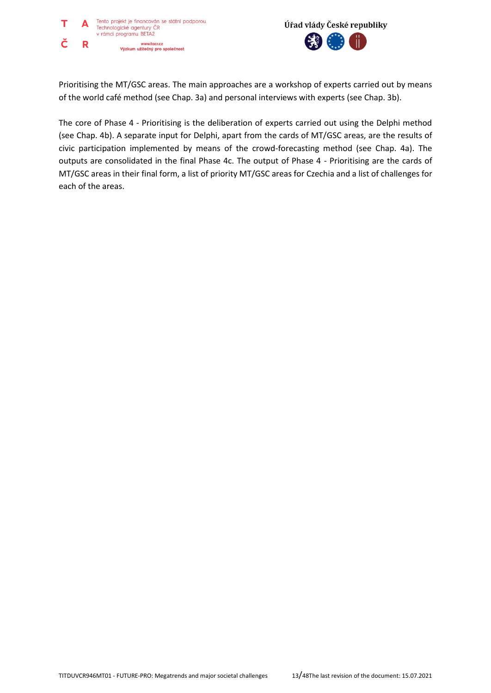



Prioritising the MT/GSC areas. The main approaches are a workshop of experts carried out by means of the world café method (see Chap. 3a) and personal interviews with experts (see Chap. 3b).

The core of Phase 4 - Prioritising is the deliberation of experts carried out using the Delphi method (see Chap. 4b). A separate input for Delphi, apart from the cards of MT/GSC areas, are the results of civic participation implemented by means of the crowd-forecasting method (see Chap. 4a). The outputs are consolidated in the final Phase 4c. The output of Phase 4 - Prioritising are the cards of MT/GSC areas in their final form, a list of priority MT/GSC areas for Czechia and a list of challenges for each of the areas.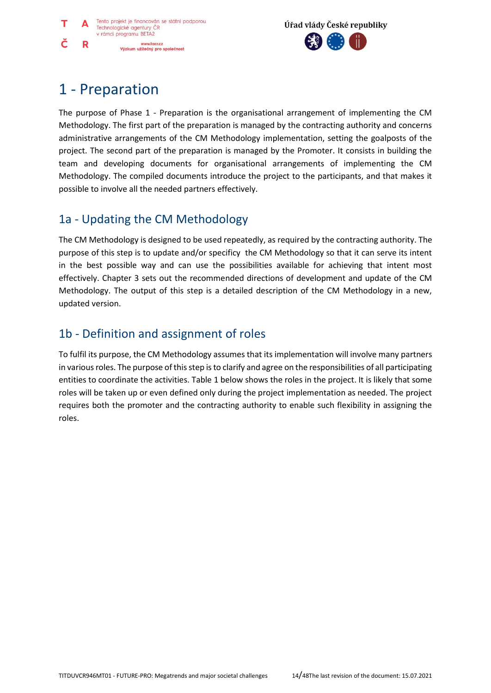Úřad vlády České republiky

# <span id="page-13-0"></span>1 - Preparation

The purpose of Phase 1 - Preparation is the organisational arrangement of implementing the CM Methodology. The first part of the preparation is managed by the contracting authority and concerns administrative arrangements of the CM Methodology implementation, setting the goalposts of the project. The second part of the preparation is managed by the Promoter. It consists in building the team and developing documents for organisational arrangements of implementing the CM Methodology. The compiled documents introduce the project to the participants, and that makes it possible to involve all the needed partners effectively.

### <span id="page-13-1"></span>1a - Updating the CM Methodology

The CM Methodology is designed to be used repeatedly, as required by the contracting authority. The purpose of this step is to update and/or specificy the CM Methodology so that it can serve its intent in the best possible way and can use the possibilities available for achieving that intent most effectively. Chapter 3 sets out the recommended directions of development and update of the CM Methodology. The output of this step is a detailed description of the CM Methodology in a new, updated version.

### <span id="page-13-2"></span>1b - Definition and assignment of roles

To fulfil its purpose, the CM Methodology assumes that its implementation will involve many partners in various roles. The purpose of this step is to clarify and agree on the responsibilities of all participating entities to coordinate the activities. Table 1 below shows the roles in the project. It is likely that some roles will be taken up or even defined only during the project implementation as needed. The project requires both the promoter and the contracting authority to enable such flexibility in assigning the roles.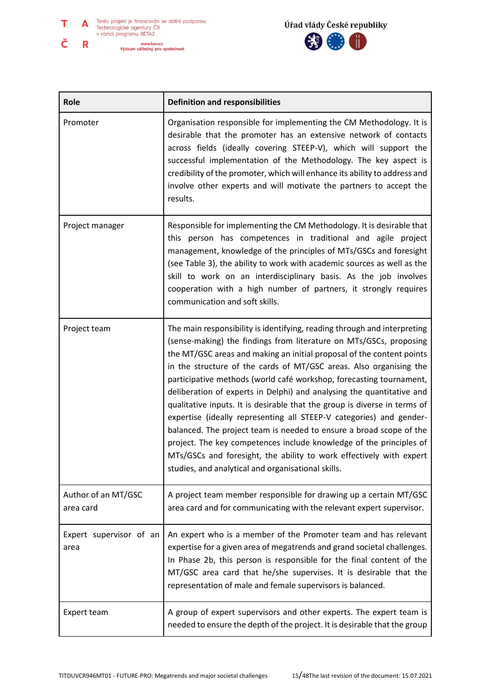

| Role                             | <b>Definition and responsibilities</b>                                                                                                                                                                                                                                                                                                                                                                                                                                                                                                                                                                                                                                                                                                                                                                                                                                       |
|----------------------------------|------------------------------------------------------------------------------------------------------------------------------------------------------------------------------------------------------------------------------------------------------------------------------------------------------------------------------------------------------------------------------------------------------------------------------------------------------------------------------------------------------------------------------------------------------------------------------------------------------------------------------------------------------------------------------------------------------------------------------------------------------------------------------------------------------------------------------------------------------------------------------|
| Promoter                         | Organisation responsible for implementing the CM Methodology. It is<br>desirable that the promoter has an extensive network of contacts<br>across fields (ideally covering STEEP-V), which will support the<br>successful implementation of the Methodology. The key aspect is<br>credibility of the promoter, which will enhance its ability to address and<br>involve other experts and will motivate the partners to accept the<br>results.                                                                                                                                                                                                                                                                                                                                                                                                                               |
| Project manager                  | Responsible for implementing the CM Methodology. It is desirable that<br>this person has competences in traditional and agile project<br>management, knowledge of the principles of MTs/GSCs and foresight<br>(see Table 3), the ability to work with academic sources as well as the<br>skill to work on an interdisciplinary basis. As the job involves<br>cooperation with a high number of partners, it strongly requires<br>communication and soft skills.                                                                                                                                                                                                                                                                                                                                                                                                              |
| Project team                     | The main responsibility is identifying, reading through and interpreting<br>(sense-making) the findings from literature on MTs/GSCs, proposing<br>the MT/GSC areas and making an initial proposal of the content points<br>in the structure of the cards of MT/GSC areas. Also organising the<br>participative methods (world café workshop, forecasting tournament,<br>deliberation of experts in Delphi) and analysing the quantitative and<br>qualitative inputs. It is desirable that the group is diverse in terms of<br>expertise (ideally representing all STEEP-V categories) and gender-<br>balanced. The project team is needed to ensure a broad scope of the<br>project. The key competences include knowledge of the principles of<br>MTs/GSCs and foresight, the ability to work effectively with expert<br>studies, and analytical and organisational skills. |
| Author of an MT/GSC<br>area card | A project team member responsible for drawing up a certain MT/GSC<br>area card and for communicating with the relevant expert supervisor.                                                                                                                                                                                                                                                                                                                                                                                                                                                                                                                                                                                                                                                                                                                                    |
| Expert supervisor of an<br>area  | An expert who is a member of the Promoter team and has relevant<br>expertise for a given area of megatrends and grand societal challenges.<br>In Phase 2b, this person is responsible for the final content of the<br>MT/GSC area card that he/she supervises. It is desirable that the<br>representation of male and female supervisors is balanced.                                                                                                                                                                                                                                                                                                                                                                                                                                                                                                                        |
| Expert team                      | A group of expert supervisors and other experts. The expert team is<br>needed to ensure the depth of the project. It is desirable that the group                                                                                                                                                                                                                                                                                                                                                                                                                                                                                                                                                                                                                                                                                                                             |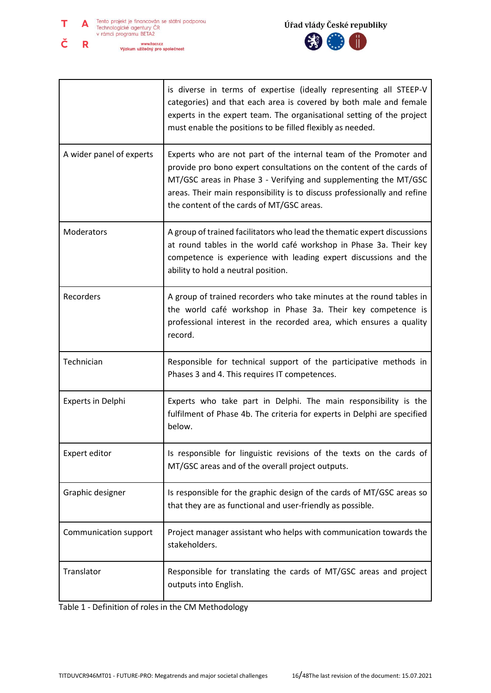T

Č



|                          | is diverse in terms of expertise (ideally representing all STEEP-V<br>categories) and that each area is covered by both male and female<br>experts in the expert team. The organisational setting of the project<br>must enable the positions to be filled flexibly as needed.                                                         |
|--------------------------|----------------------------------------------------------------------------------------------------------------------------------------------------------------------------------------------------------------------------------------------------------------------------------------------------------------------------------------|
| A wider panel of experts | Experts who are not part of the internal team of the Promoter and<br>provide pro bono expert consultations on the content of the cards of<br>MT/GSC areas in Phase 3 - Verifying and supplementing the MT/GSC<br>areas. Their main responsibility is to discuss professionally and refine<br>the content of the cards of MT/GSC areas. |
| Moderators               | A group of trained facilitators who lead the thematic expert discussions<br>at round tables in the world café workshop in Phase 3a. Their key<br>competence is experience with leading expert discussions and the<br>ability to hold a neutral position.                                                                               |
| <b>Recorders</b>         | A group of trained recorders who take minutes at the round tables in<br>the world café workshop in Phase 3a. Their key competence is<br>professional interest in the recorded area, which ensures a quality<br>record.                                                                                                                 |
| Technician               | Responsible for technical support of the participative methods in<br>Phases 3 and 4. This requires IT competences.                                                                                                                                                                                                                     |
| <b>Experts in Delphi</b> | Experts who take part in Delphi. The main responsibility is the<br>fulfilment of Phase 4b. The criteria for experts in Delphi are specified<br>below.                                                                                                                                                                                  |
| Expert editor            | Is responsible for linguistic revisions of the texts on the cards of<br>MT/GSC areas and of the overall project outputs.                                                                                                                                                                                                               |
| Graphic designer         | Is responsible for the graphic design of the cards of MT/GSC areas so<br>that they are as functional and user-friendly as possible.                                                                                                                                                                                                    |
| Communication support    | Project manager assistant who helps with communication towards the<br>stakeholders.                                                                                                                                                                                                                                                    |
| Translator               | Responsible for translating the cards of MT/GSC areas and project<br>outputs into English.                                                                                                                                                                                                                                             |

Table 1 - Definition of roles in the CM Methodology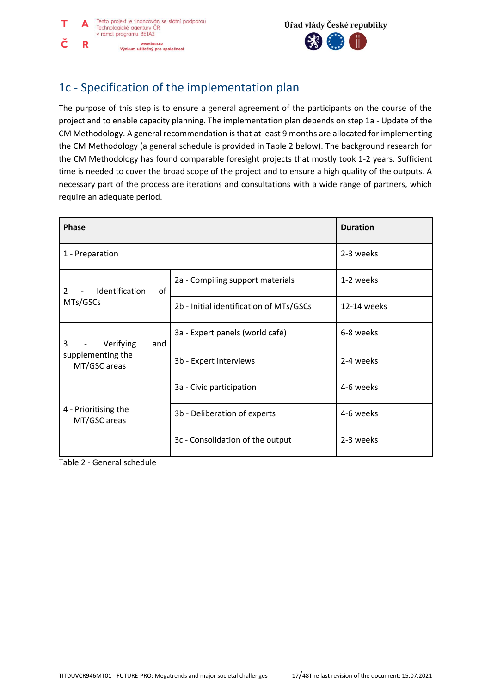

# <span id="page-16-0"></span>1c - Specification of the implementation plan

The purpose of this step is to ensure a general agreement of the participants on the course of the project and to enable capacity planning. The implementation plan depends on step 1a - Update of the CM Methodology. A general recommendation is that at least 9 months are allocated for implementing the CM Methodology (a general schedule is provided in Table 2 below). The background research for the CM Methodology has found comparable foresight projects that mostly took 1-2 years. Sufficient time is needed to cover the broad scope of the project and to ensure a high quality of the outputs. A necessary part of the process are iterations and consultations with a wide range of partners, which require an adequate period.

| <b>Phase</b>                          | <b>Duration</b>                         |             |
|---------------------------------------|-----------------------------------------|-------------|
| 1 - Preparation                       | 2-3 weeks                               |             |
| Identification<br>of<br>$\mathcal{P}$ | 2a - Compiling support materials        | 1-2 weeks   |
| MTs/GSCs                              | 2b - Initial identification of MTs/GSCs | 12-14 weeks |
| Verifying<br>3<br>and                 | 3a - Expert panels (world café)         | 6-8 weeks   |
| supplementing the<br>MT/GSC areas     | 3b - Expert interviews                  | 2-4 weeks   |
|                                       | 3a - Civic participation                | 4-6 weeks   |
| 4 - Prioritising the<br>MT/GSC areas  | 3b - Deliberation of experts            | 4-6 weeks   |
|                                       | 3c - Consolidation of the output        | 2-3 weeks   |

Table 2 - General schedule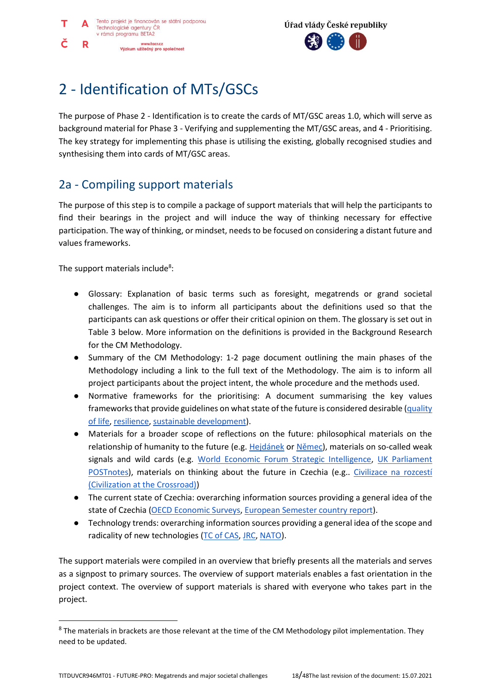# <span id="page-17-0"></span>2 - Identification of MTs/GSCs

The purpose of Phase 2 - Identification is to create the cards of MT/GSC areas 1.0, which will serve as background material for Phase 3 - Verifying and supplementing the MT/GSC areas, and 4 - Prioritising. The key strategy for implementing this phase is utilising the existing, globally recognised studies and synthesising them into cards of MT/GSC areas.

### <span id="page-17-1"></span>2a - Compiling support materials

The purpose of this step is to compile a package of support materials that will help the participants to find their bearings in the project and will induce the way of thinking necessary for effective participation. The way of thinking, or mindset, needs to be focused on considering a distant future and values frameworks.

The support materials include<sup>8</sup>:

- Glossary: Explanation of basic terms such as foresight, megatrends or grand societal challenges. The aim is to inform all participants about the definitions used so that the participants can ask questions or offer their critical opinion on them. The glossary is set out in Table 3 below. More information on the definitions is provided in the Background Research for the CM Methodology.
- Summary of the CM Methodology: 1-2 page document outlining the main phases of the Methodology including a link to the full text of the Methodology. The aim is to inform all project participants about the project intent, the whole procedure and the methods used.
- Normative frameworks for the prioritising: A document summarising the key values frameworks that provide guidelines on what state of the future is considered desirable (quality [of life,](https://www.oecd.org/statistics/how-s-life-23089679.htm) [resilience,](https://ec.europa.eu/info/sites/default/files/strategic_foresight_report_2020_1_0.pdf) [sustainable development\)](https://sdgs.un.org/goals).
- Materials for a broader scope of reflections on the future: philosophical materials on the relationship of humanity to the future (e.g. [Hejdánek](https://www.hejdanek.eu/Archive/Detail/125) or [Němec](https://www.reflexe.cz/Reflexe_39/Intencionalita_budoucnost_a_nejsoucno.html)), materials on so-called weak signals and wild cards (e.g. [World Economic Forum Strategic Intelligence,](https://intelligence.weforum.org/) [UK Parliament](https://post.parliament.uk/type/postnote/)  [POSTnotes\)](https://post.parliament.uk/type/postnote/), materials on thinking about the future in Czechia (e.g.. [Civilizace na rozcestí](http://www.sds.cz/docs/prectete/eknihy/rri_cnr.htm)  [\(Civilization at the Crossroad\)\)](http://www.sds.cz/docs/prectete/eknihy/rri_cnr.htm)
- The current state of Czechia: overarching information sources providing a general idea of the state of Czechia [\(OECD Economic Surveys,](https://www.oecd-ilibrary.org/economics/oecd-economic-surveys-czech-republic_19990561) [European Semester country report\)](https://ec.europa.eu/info/business-economy-euro/economic-and-fiscal-policy-coordination/eu-economic-governance-monitoring-prevention-correction/european-semester_en).
- Technology trends: overarching information sources providing a general idea of the scope and radicality of new technologies [\(TC of CAS,](https://www.strast.cz/storage/download/d03c747f425ddc0b3a5f8a4fb40988c23bc02495) [JRC,](https://ec.europa.eu/jrc/en/publication/weak-signals-science-and-technologies-2019-report) [NATO\)](https://www.nato.int/nato_static_fl2014/assets/pdf/2020/4/pdf/190422-ST_Tech_Trends_Report_2020-2040.pdf).

The support materials were compiled in an overview that briefly presents all the materials and serves as a signpost to primary sources. The overview of support materials enables a fast orientation in the project context. The overview of support materials is shared with everyone who takes part in the project.

<sup>&</sup>lt;sup>8</sup> The materials in brackets are those relevant at the time of the CM Methodology pilot implementation. They need to be updated.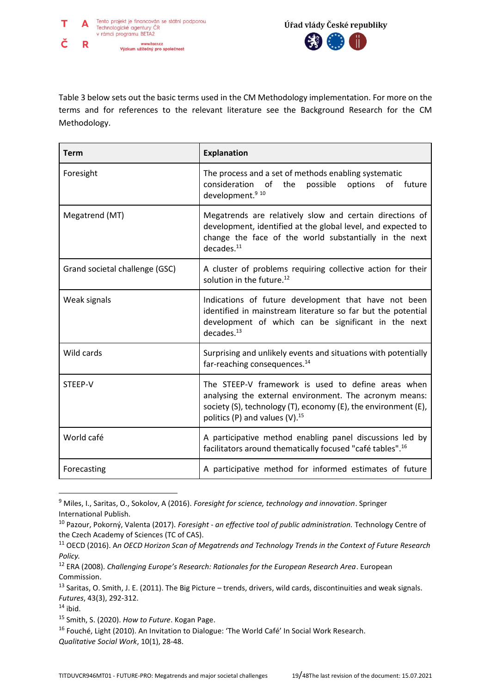

Úřad vlády České republiky

Table 3 below sets out the basic terms used in the CM Methodology implementation. For more on the terms and for references to the relevant literature see the Background Research for the CM Methodology.

| <b>Term</b>                    | <b>Explanation</b>                                                                                                                                                                                                 |  |  |  |  |
|--------------------------------|--------------------------------------------------------------------------------------------------------------------------------------------------------------------------------------------------------------------|--|--|--|--|
| Foresight                      | The process and a set of methods enabling systematic<br>consideration of the<br>possible<br>options<br>of<br>future<br>development. <sup>9 10</sup>                                                                |  |  |  |  |
| Megatrend (MT)                 | Megatrends are relatively slow and certain directions of<br>development, identified at the global level, and expected to<br>change the face of the world substantially in the next<br>decades. <sup>11</sup>       |  |  |  |  |
| Grand societal challenge (GSC) | A cluster of problems requiring collective action for their<br>solution in the future. <sup>12</sup>                                                                                                               |  |  |  |  |
| Weak signals                   | Indications of future development that have not been<br>identified in mainstream literature so far but the potential<br>development of which can be significant in the next<br>decades. <sup>13</sup>              |  |  |  |  |
| Wild cards                     | Surprising and unlikely events and situations with potentially<br>far-reaching consequences. <sup>14</sup>                                                                                                         |  |  |  |  |
| STEEP-V                        | The STEEP-V framework is used to define areas when<br>analysing the external environment. The acronym means:<br>society (S), technology (T), economy (E), the environment (E),<br>politics (P) and values $(V).15$ |  |  |  |  |
| World café                     | A participative method enabling panel discussions led by<br>facilitators around thematically focused "café tables". <sup>16</sup>                                                                                  |  |  |  |  |
| Forecasting                    | A participative method for informed estimates of future                                                                                                                                                            |  |  |  |  |

<sup>9</sup> Miles, I., Saritas, O., Sokolov, A (2016). *Foresight for science, technology and innovation*. Springer International Publish.

<sup>10</sup> Pazour, Pokorný, Valenta (2017). *Foresight - an effective tool of public administration.* Technology Centre of the Czech Academy of Sciences (TC of CAS).

<sup>11</sup> OECD (2016). A*n OECD Horizon Scan of Megatrends and Technology Trends in the Context of Future Research Policy.*

<sup>12</sup> ERA (2008). *Challenging Europe's Research: Rationales for the European Research Area*. European Commission.

 $13$  Saritas, O. Smith, J. E. (2011). The Big Picture – trends, drivers, wild cards, discontinuities and weak signals. *Futures*, 43(3), 292-312.

 $14$  ibid.

<sup>15</sup> Smith, S. (2020). *How to Future*. Kogan Page.

<sup>&</sup>lt;sup>16</sup> Fouché, Light (2010). An Invitation to Dialogue: 'The World Café' In Social Work Research. *Qualitative Social Work*, 10(1), 28-48.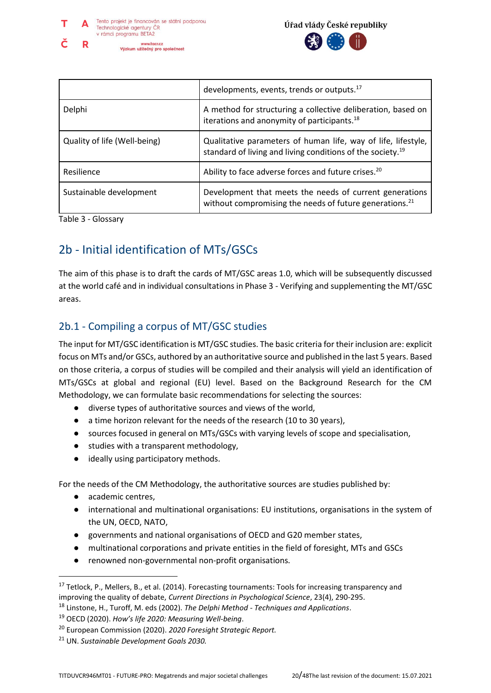

|                              | developments, events, trends or outputs. <sup>17</sup>                                                                                  |
|------------------------------|-----------------------------------------------------------------------------------------------------------------------------------------|
| Delphi                       | A method for structuring a collective deliberation, based on<br>iterations and anonymity of participants. <sup>18</sup>                 |
| Quality of life (Well-being) | Qualitative parameters of human life, way of life, lifestyle,<br>standard of living and living conditions of the society. <sup>19</sup> |
| Resilience                   | Ability to face adverse forces and future crises. <sup>20</sup>                                                                         |
| Sustainable development      | Development that meets the needs of current generations<br>without compromising the needs of future generations. <sup>21</sup>          |

<span id="page-19-0"></span>Table 3 - Glossary

# 2b - Initial identification of MTs/GSCs

The aim of this phase is to draft the cards of MT/GSC areas 1.0, which will be subsequently discussed at the world café and in individual consultations in Phase 3 - Verifying and supplementing the MT/GSC areas.

### <span id="page-19-1"></span>2b.1 - Compiling a corpus of MT/GSC studies

The input for MT/GSC identification is MT/GSC studies. The basic criteria for their inclusion are: explicit focus on MTs and/or GSCs, authored by an authoritative source and published in the last 5 years. Based on those criteria, a corpus of studies will be compiled and their analysis will yield an identification of MTs/GSCs at global and regional (EU) level. Based on the Background Research for the CM Methodology, we can formulate basic recommendations for selecting the sources:

- diverse types of authoritative sources and views of the world,
- a time horizon relevant for the needs of the research (10 to 30 years),
- sources focused in general on MTs/GSCs with varying levels of scope and specialisation,
- studies with a transparent methodology,
- ideally using participatory methods.

For the needs of the CM Methodology, the authoritative sources are studies published by:

- academic centres,
- international and multinational organisations: EU institutions, organisations in the system of the UN, OECD, NATO,
- governments and national organisations of OECD and G20 member states,
- multinational corporations and private entities in the field of foresight, MTs and GSCs
- renowned non-governmental non-profit organisations.

<sup>&</sup>lt;sup>17</sup> Tetlock, P., Mellers, B., et al. (2014). Forecasting tournaments: Tools for increasing transparency and improving the quality of debate, *Current Directions in Psychological Science*, 23(4), 290-295.

<sup>18</sup> Linstone, H., Turoff, M. eds (2002). *The Delphi Method - Techniques and Applications*.

<sup>19</sup> OECD (2020). *How's life 2020: Measuring Well-being*.

<sup>20</sup> European Commission (2020). *2020 Foresight Strategic Report.*

<sup>21</sup> UN. *Sustainable Development Goals 2030.*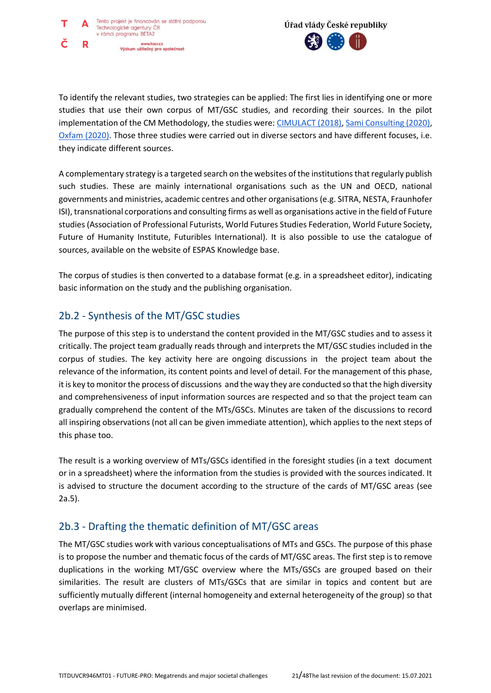

To identify the relevant studies, two strategies can be applied: The first lies in identifying one or more studies that use their own corpus of MT/GSC studies, and recording their sources. In the pilot implementation of the CM Methodology, the studies were: [CIMULACT \(2018\),](http://www.cimulact.eu/wp-content/uploads/2018/04/D5.2_Report-on-comparison-expert-oriented-foresight-studies-compressed.pdf) [Sami Consulting \(2020\),](https://samiconsulting.co.uk/wp-content/uploads/2020/06/Meta-Megatrends-April.pdf) [Oxfam \(2020\).](https://oxfamilibrary.openrepository.com/bitstream/handle/10546/620942/dp-global-megatrends-mapping-forces-affect-us-all-310120-en.pdf?sequence=1&isAllowed=y) Those three studies were carried out in diverse sectors and have different focuses, i.e. they indicate different sources.

A complementary strategy is a targeted search on the websites of the institutions that regularly publish such studies. These are mainly international organisations such as the UN and OECD, national governments and ministries, academic centres and other organisations (e.g. SITRA, NESTA, Fraunhofer ISI), transnational corporations and consulting firms as well as organisations active in the field of Future studies (Association of Professional Futurists, World Futures Studies Federation, World Future Society, Future of Humanity Institute, Futuribles International). It is also possible to use the catalogue of sources, available on the website of ESPAS Knowledge base.

The corpus of studies is then converted to a database format (e.g. in a spreadsheet editor), indicating basic information on the study and the publishing organisation.

### <span id="page-20-0"></span>2b.2 - Synthesis of the MT/GSC studies

The purpose of this step is to understand the content provided in the MT/GSC studies and to assess it critically. The project team gradually reads through and interprets the MT/GSC studies included in the corpus of studies. The key activity here are ongoing discussions in the project team about the relevance of the information, its content points and level of detail. For the management of this phase, it is key to monitor the process of discussions and the way they are conducted so that the high diversity and comprehensiveness of input information sources are respected and so that the project team can gradually comprehend the content of the MTs/GSCs. Minutes are taken of the discussions to record all inspiring observations (not all can be given immediate attention), which applies to the next steps of this phase too.

The result is a working overview of MTs/GSCs identified in the foresight studies (in a text document or in a spreadsheet) where the information from the studies is provided with the sources indicated. It is advised to structure the document according to the structure of the cards of MT/GSC areas (see 2a.5).

### <span id="page-20-1"></span>2b.3 - Drafting the thematic definition of MT/GSC areas

The MT/GSC studies work with various conceptualisations of MTs and GSCs. The purpose of this phase is to propose the number and thematic focus of the cards of MT/GSC areas. The first step is to remove duplications in the working MT/GSC overview where the MTs/GSCs are grouped based on their similarities. The result are clusters of MTs/GSCs that are similar in topics and content but are sufficiently mutually different (internal homogeneity and external heterogeneity of the group) so that overlaps are minimised.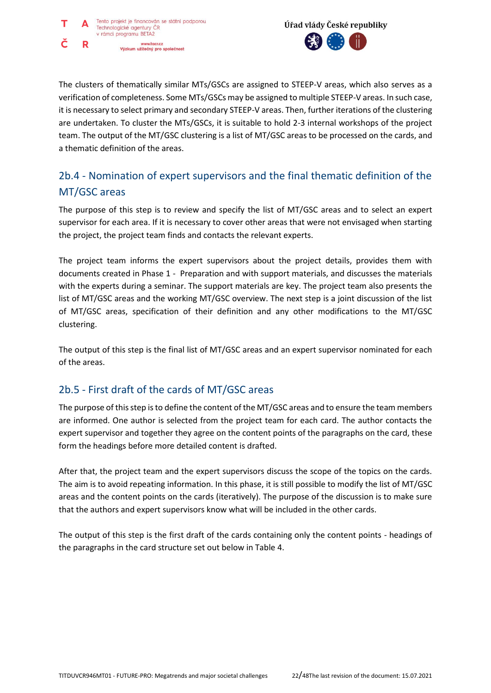

The clusters of thematically similar MTs/GSCs are assigned to STEEP-V areas, which also serves as a verification of completeness. Some MTs/GSCs may be assigned to multiple STEEP-V areas. In such case, it is necessary to select primary and secondary STEEP-V areas. Then, further iterations of the clustering are undertaken. To cluster the MTs/GSCs, it is suitable to hold 2-3 internal workshops of the project team. The output of the MT/GSC clustering is a list of MT/GSC areas to be processed on the cards, and a thematic definition of the areas.

### <span id="page-21-0"></span>2b.4 - Nomination of expert supervisors and the final thematic definition of the MT/GSC areas

The purpose of this step is to review and specify the list of MT/GSC areas and to select an expert supervisor for each area. If it is necessary to cover other areas that were not envisaged when starting the project, the project team finds and contacts the relevant experts.

The project team informs the expert supervisors about the project details, provides them with documents created in Phase 1 - Preparation and with support materials, and discusses the materials with the experts during a seminar. The support materials are key. The project team also presents the list of MT/GSC areas and the working MT/GSC overview. The next step is a joint discussion of the list of MT/GSC areas, specification of their definition and any other modifications to the MT/GSC clustering.

The output of this step is the final list of MT/GSC areas and an expert supervisor nominated for each of the areas.

### <span id="page-21-1"></span>2b.5 - First draft of the cards of MT/GSC areas

The purpose of this step is to define the content of the MT/GSC areas and to ensure the team members are informed. One author is selected from the project team for each card. The author contacts the expert supervisor and together they agree on the content points of the paragraphs on the card, these form the headings before more detailed content is drafted.

After that, the project team and the expert supervisors discuss the scope of the topics on the cards. The aim is to avoid repeating information. In this phase, it is still possible to modify the list of MT/GSC areas and the content points on the cards (iteratively). The purpose of the discussion is to make sure that the authors and expert supervisors know what will be included in the other cards.

The output of this step is the first draft of the cards containing only the content points - headings of the paragraphs in the card structure set out below in Table 4.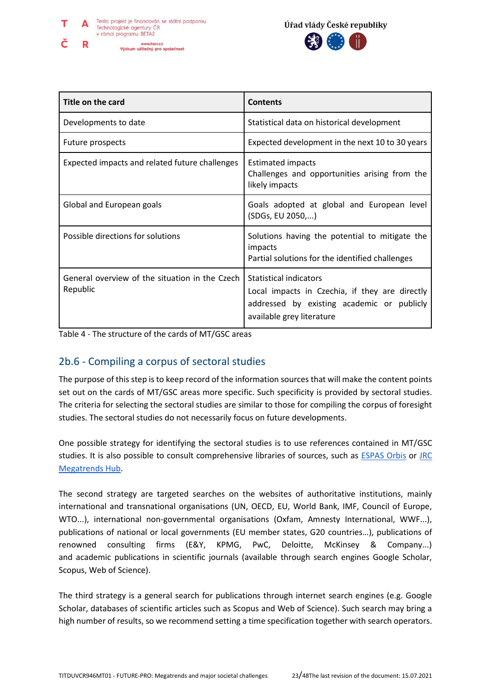Tento projekt je financován se státní podporou Technologické agentury ČR v rámci programu BETA2 www.tacr.cz<br>Výzkum užitečný pro společnost R

Úřad vlády České republiky



| <b>Title on the card</b>                                   | <b>Contents</b>                                                                                                                                     |
|------------------------------------------------------------|-----------------------------------------------------------------------------------------------------------------------------------------------------|
| Developments to date                                       | Statistical data on historical development                                                                                                          |
| Future prospects                                           | Expected development in the next 10 to 30 years                                                                                                     |
| Expected impacts and related future challenges             | <b>Estimated impacts</b><br>Challenges and opportunities arising from the<br>likely impacts                                                         |
| Global and European goals                                  | Goals adopted at global and European level<br>(SDGs, EU 2050,)                                                                                      |
| Possible directions for solutions                          | Solutions having the potential to mitigate the<br>impacts<br>Partial solutions for the identified challenges                                        |
| General overview of the situation in the Czech<br>Republic | Statistical indicators<br>Local impacts in Czechia, if they are directly<br>addressed by existing academic or publicly<br>available grey literature |

<span id="page-22-0"></span>Table 4 - The structure of the cards of MT/GSC areas

### 2b.6 - Compiling a corpus of sectoral studies

The purpose of this step is to keep record of the information sources that will make the content points set out on the cards of MT/GSC areas more specific. Such specificity is provided by sectoral studies. The criteria for selecting the sectoral studies are similar to those for compiling the corpus of foresight studies. The sectoral studies do not necessarily focus on future developments.

One possible strategy for identifying the sectoral studies is to use references contained in MT/GSC studies. It is also possible to consult comprehensive libraries of sources, such as [ESPAS Orbis](https://espas.secure.europarl.europa.eu/orbis/) or [JRC](https://knowledge4policy.ec.europa.eu/foresight/tool/megatrends-hub_en)  [Megatrends Hub.](https://knowledge4policy.ec.europa.eu/foresight/tool/megatrends-hub_en)

The second strategy are targeted searches on the websites of authoritative institutions, mainly international and transnational organisations (UN, OECD, EU, World Bank, IMF, Council of Europe, WTO...), international non-governmental organisations (Oxfam, Amnesty International, WWF...), publications of national or local governments (EU member states, G20 countries…), publications of renowned consulting firms (E&Y, KPMG, PwC, Deloitte, McKinsey & Company...) and academic publications in scientific journals (available through search engines Google Scholar, Scopus, Web of Science).

The third strategy is a general search for publications through internet search engines (e.g. Google Scholar, databases of scientific articles such as Scopus and Web of Science). Such search may bring a high number of results, so we recommend setting a time specification together with search operators.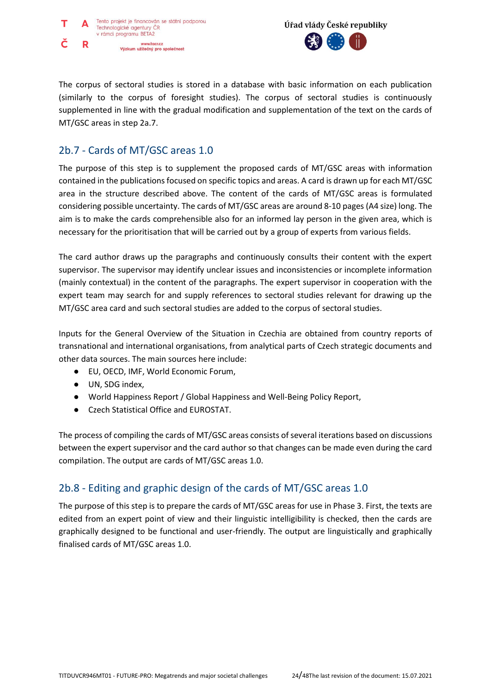Úřad vlády České republiky

The corpus of sectoral studies is stored in a database with basic information on each publication (similarly to the corpus of foresight studies). The corpus of sectoral studies is continuously supplemented in line with the gradual modification and supplementation of the text on the cards of MT/GSC areas in step 2a.7.

### <span id="page-23-0"></span>2b.7 - Cards of MT/GSC areas 1.0

The purpose of this step is to supplement the proposed cards of MT/GSC areas with information contained in the publications focused on specific topics and areas. A card is drawn up for each MT/GSC area in the structure described above. The content of the cards of MT/GSC areas is formulated considering possible uncertainty. The cards of MT/GSC areas are around 8-10 pages (A4 size) long. The aim is to make the cards comprehensible also for an informed lay person in the given area, which is necessary for the prioritisation that will be carried out by a group of experts from various fields.

The card author draws up the paragraphs and continuously consults their content with the expert supervisor. The supervisor may identify unclear issues and inconsistencies or incomplete information (mainly contextual) in the content of the paragraphs. The expert supervisor in cooperation with the expert team may search for and supply references to sectoral studies relevant for drawing up the MT/GSC area card and such sectoral studies are added to the corpus of sectoral studies.

Inputs for the General Overview of the Situation in Czechia are obtained from country reports of transnational and international organisations, from analytical parts of Czech strategic documents and other data sources. The main sources here include:

- EU, OECD, IMF, World Economic Forum,
- UN, SDG index,
- World Happiness Report / Global Happiness and Well-Being Policy Report,
- Czech Statistical Office and EUROSTAT.

The process of compiling the cards of MT/GSC areas consists of several iterations based on discussions between the expert supervisor and the card author so that changes can be made even during the card compilation. The output are cards of MT/GSC areas 1.0.

### <span id="page-23-1"></span>2b.8 - Editing and graphic design of the cards of MT/GSC areas 1.0

The purpose of this step is to prepare the cards of MT/GSC areas for use in Phase 3. First, the texts are edited from an expert point of view and their linguistic intelligibility is checked, then the cards are graphically designed to be functional and user-friendly. The output are linguistically and graphically finalised cards of MT/GSC areas 1.0.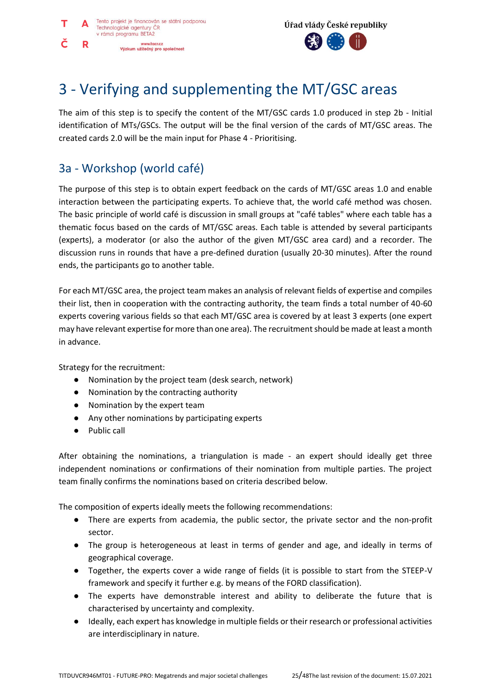т

Č



# <span id="page-24-0"></span>3 - Verifying and supplementing the MT/GSC areas

The aim of this step is to specify the content of the MT/GSC cards 1.0 produced in step 2b - Initial identification of MTs/GSCs. The output will be the final version of the cards of MT/GSC areas. The created cards 2.0 will be the main input for Phase 4 - Prioritising.

### <span id="page-24-1"></span>3a - Workshop (world café)

The purpose of this step is to obtain expert feedback on the cards of MT/GSC areas 1.0 and enable interaction between the participating experts. To achieve that, the world café method was chosen. The basic principle of world café is discussion in small groups at "café tables" where each table has a thematic focus based on the cards of MT/GSC areas. Each table is attended by several participants (experts), a moderator (or also the author of the given MT/GSC area card) and a recorder. The discussion runs in rounds that have a pre-defined duration (usually 20-30 minutes). After the round ends, the participants go to another table.

For each MT/GSC area, the project team makes an analysis of relevant fields of expertise and compiles their list, then in cooperation with the contracting authority, the team finds a total number of 40-60 experts covering various fields so that each MT/GSC area is covered by at least 3 experts (one expert may have relevant expertise for more than one area). The recruitment should be made at least a month in advance.

Strategy for the recruitment:

- Nomination by the project team (desk search, network)
- Nomination by the contracting authority
- Nomination by the expert team
- Any other nominations by participating experts
- Public call

After obtaining the nominations, a triangulation is made - an expert should ideally get three independent nominations or confirmations of their nomination from multiple parties. The project team finally confirms the nominations based on criteria described below.

The composition of experts ideally meets the following recommendations:

- There are experts from academia, the public sector, the private sector and the non-profit sector.
- The group is heterogeneous at least in terms of gender and age, and ideally in terms of geographical coverage.
- Together, the experts cover a wide range of fields (it is possible to start from the STEEP-V framework and specify it further e.g. by means of the FORD classification).
- The experts have demonstrable interest and ability to deliberate the future that is characterised by uncertainty and complexity.
- Ideally, each expert has knowledge in multiple fields or their research or professional activities are interdisciplinary in nature.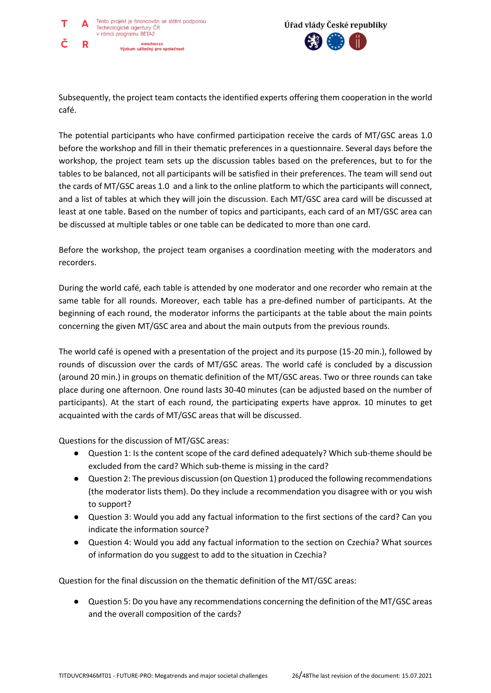

Subsequently, the project team contacts the identified experts offering them cooperation in the world café.

The potential participants who have confirmed participation receive the cards of MT/GSC areas 1.0 before the workshop and fill in their thematic preferences in a questionnaire. Several days before the workshop, the project team sets up the discussion tables based on the preferences, but to for the tables to be balanced, not all participants will be satisfied in their preferences. The team will send out the cards of MT/GSC areas 1.0 and a link to the online platform to which the participants will connect, and a list of tables at which they will join the discussion. Each MT/GSC area card will be discussed at least at one table. Based on the number of topics and participants, each card of an MT/GSC area can be discussed at multiple tables or one table can be dedicated to more than one card.

Before the workshop, the project team organises a coordination meeting with the moderators and recorders.

During the world café, each table is attended by one moderator and one recorder who remain at the same table for all rounds. Moreover, each table has a pre-defined number of participants. At the beginning of each round, the moderator informs the participants at the table about the main points concerning the given MT/GSC area and about the main outputs from the previous rounds.

The world café is opened with a presentation of the project and its purpose (15-20 min.), followed by rounds of discussion over the cards of MT/GSC areas. The world café is concluded by a discussion (around 20 min.) in groups on thematic definition of the MT/GSC areas. Two or three rounds can take place during one afternoon. One round lasts 30-40 minutes (can be adjusted based on the number of participants). At the start of each round, the participating experts have approx. 10 minutes to get acquainted with the cards of MT/GSC areas that will be discussed.

Questions for the discussion of MT/GSC areas:

- Question 1: Is the content scope of the card defined adequately? Which sub-theme should be excluded from the card? Which sub-theme is missing in the card?
- Question 2: The previous discussion (on Question 1) produced the following recommendations (the moderator lists them). Do they include a recommendation you disagree with or you wish to support?
- Question 3: Would you add any factual information to the first sections of the card? Can you indicate the information source?
- Question 4: Would you add any factual information to the section on Czechia? What sources of information do you suggest to add to the situation in Czechia?

Question for the final discussion on the thematic definition of the MT/GSC areas:

● Question 5: Do you have any recommendations concerning the definition of the MT/GSC areas and the overall composition of the cards?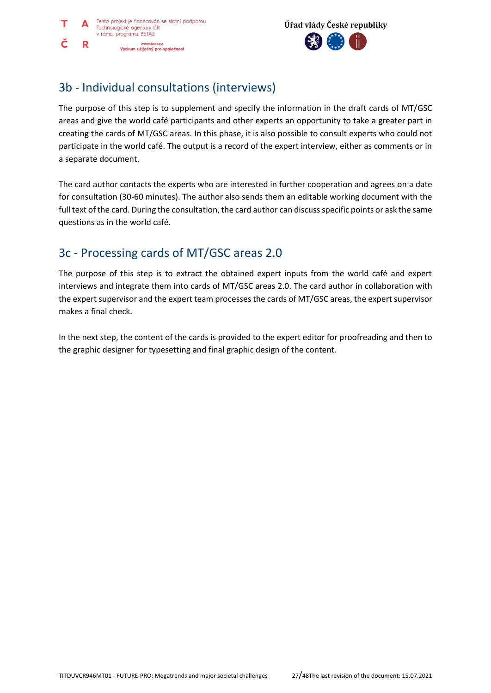

# <span id="page-26-0"></span>3b - Individual consultations (interviews)

The purpose of this step is to supplement and specify the information in the draft cards of MT/GSC areas and give the world café participants and other experts an opportunity to take a greater part in creating the cards of MT/GSC areas. In this phase, it is also possible to consult experts who could not participate in the world café. The output is a record of the expert interview, either as comments or in a separate document.

The card author contacts the experts who are interested in further cooperation and agrees on a date for consultation (30-60 minutes). The author also sends them an editable working document with the full text of the card. During the consultation, the card author can discuss specific points or ask the same questions as in the world café.

# <span id="page-26-1"></span>3c - Processing cards of MT/GSC areas 2.0

The purpose of this step is to extract the obtained expert inputs from the world café and expert interviews and integrate them into cards of MT/GSC areas 2.0. The card author in collaboration with the expert supervisor and the expert team processes the cards of MT/GSC areas, the expert supervisor makes a final check.

In the next step, the content of the cards is provided to the expert editor for proofreading and then to the graphic designer for typesetting and final graphic design of the content.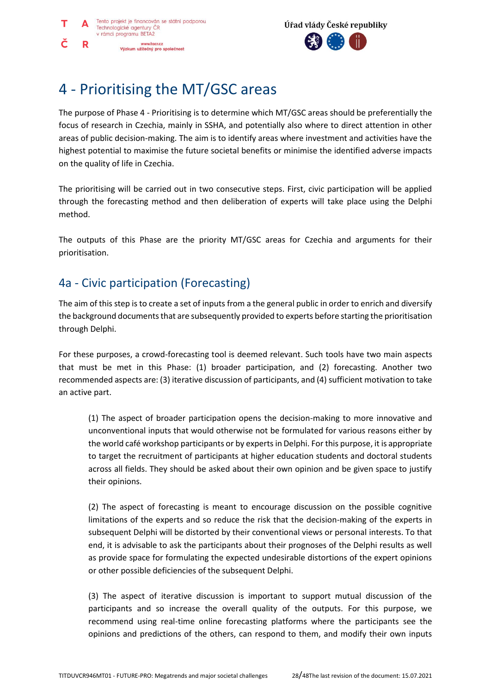

# <span id="page-27-0"></span>4 - Prioritising the MT/GSC areas

The purpose of Phase 4 - Prioritising is to determine which MT/GSC areas should be preferentially the focus of research in Czechia, mainly in SSHA, and potentially also where to direct attention in other areas of public decision-making. The aim is to identify areas where investment and activities have the highest potential to maximise the future societal benefits or minimise the identified adverse impacts on the quality of life in Czechia.

The prioritising will be carried out in two consecutive steps. First, civic participation will be applied through the forecasting method and then deliberation of experts will take place using the Delphi method.

The outputs of this Phase are the priority MT/GSC areas for Czechia and arguments for their prioritisation.

### <span id="page-27-1"></span>4a - Civic participation (Forecasting)

The aim of this step is to create a set of inputs from a the general public in order to enrich and diversify the background documents that are subsequently provided to experts before starting the prioritisation through Delphi.

For these purposes, a crowd-forecasting tool is deemed relevant. Such tools have two main aspects that must be met in this Phase: (1) broader participation, and (2) forecasting. Another two recommended aspects are: (3) iterative discussion of participants, and (4) sufficient motivation to take an active part.

(1) The aspect of broader participation opens the decision-making to more innovative and unconventional inputs that would otherwise not be formulated for various reasons either by the world café workshop participants or by experts in Delphi. For this purpose, it is appropriate to target the recruitment of participants at higher education students and doctoral students across all fields. They should be asked about their own opinion and be given space to justify their opinions.

(2) The aspect of forecasting is meant to encourage discussion on the possible cognitive limitations of the experts and so reduce the risk that the decision-making of the experts in subsequent Delphi will be distorted by their conventional views or personal interests. To that end, it is advisable to ask the participants about their prognoses of the Delphi results as well as provide space for formulating the expected undesirable distortions of the expert opinions or other possible deficiencies of the subsequent Delphi.

(3) The aspect of iterative discussion is important to support mutual discussion of the participants and so increase the overall quality of the outputs. For this purpose, we recommend using real-time online forecasting platforms where the participants see the opinions and predictions of the others, can respond to them, and modify their own inputs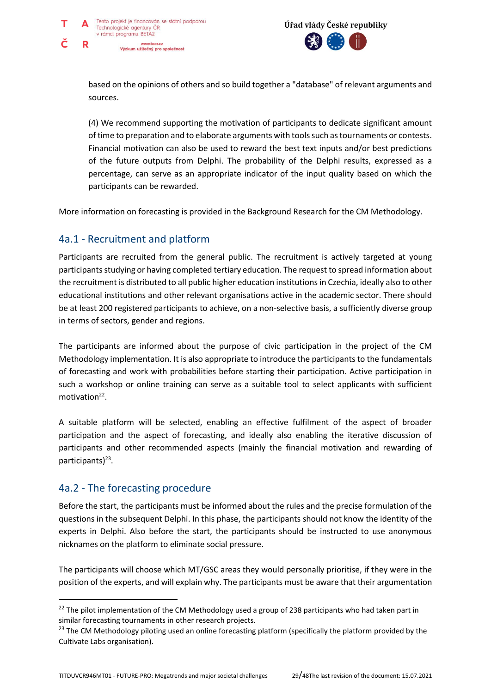R



based on the opinions of others and so build together a "database" of relevant arguments and sources.

(4) We recommend supporting the motivation of participants to dedicate significant amount of time to preparation and to elaborate arguments with tools such as tournaments or contests. Financial motivation can also be used to reward the best text inputs and/or best predictions of the future outputs from Delphi. The probability of the Delphi results, expressed as a percentage, can serve as an appropriate indicator of the input quality based on which the participants can be rewarded.

<span id="page-28-0"></span>More information on forecasting is provided in the Background Research for the CM Methodology.

#### 4a.1 - Recruitment and platform

Participants are recruited from the general public. The recruitment is actively targeted at young participants studying or having completed tertiary education. The request to spread information about the recruitment is distributed to all public higher education institutions in Czechia, ideally also to other educational institutions and other relevant organisations active in the academic sector. There should be at least 200 registered participants to achieve, on a non-selective basis, a sufficiently diverse group in terms of sectors, gender and regions.

The participants are informed about the purpose of civic participation in the project of the CM Methodology implementation. It is also appropriate to introduce the participants to the fundamentals of forecasting and work with probabilities before starting their participation. Active participation in such a workshop or online training can serve as a suitable tool to select applicants with sufficient motivation<sup>22</sup>.

A suitable platform will be selected, enabling an effective fulfilment of the aspect of broader participation and the aspect of forecasting, and ideally also enabling the iterative discussion of participants and other recommended aspects (mainly the financial motivation and rewarding of participants)<sup>23</sup>.

#### <span id="page-28-1"></span>4a.2 - The forecasting procedure

Before the start, the participants must be informed about the rules and the precise formulation of the questions in the subsequent Delphi. In this phase, the participants should not know the identity of the experts in Delphi. Also before the start, the participants should be instructed to use anonymous nicknames on the platform to eliminate social pressure.

The participants will choose which MT/GSC areas they would personally prioritise, if they were in the position of the experts, and will explain why. The participants must be aware that their argumentation

<sup>&</sup>lt;sup>22</sup> The pilot implementation of the CM Methodology used a group of 238 participants who had taken part in similar forecasting tournaments in other research projects.

<sup>&</sup>lt;sup>23</sup> The CM Methodology piloting used an online forecasting platform (specifically the platform provided by the Cultivate Labs organisation).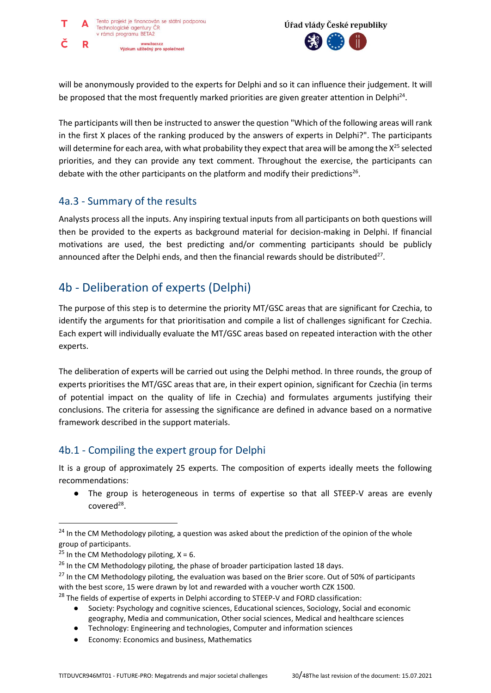

will be anonymously provided to the experts for Delphi and so it can influence their judgement. It will be proposed that the most frequently marked priorities are given greater attention in Delphi<sup>24</sup>.

The participants will then be instructed to answer the question "Which of the following areas will rank in the first X places of the ranking produced by the answers of experts in Delphi?". The participants will determine for each area, with what probability they expect that area will be among the  $X^{25}$  selected priorities, and they can provide any text comment. Throughout the exercise, the participants can debate with the other participants on the platform and modify their predictions<sup>26</sup>.

#### <span id="page-29-0"></span>4a.3 - Summary of the results

Analysts process all the inputs. Any inspiring textual inputs from all participants on both questions will then be provided to the experts as background material for decision-making in Delphi. If financial motivations are used, the best predicting and/or commenting participants should be publicly announced after the Delphi ends, and then the financial rewards should be distributed $^{27}$ .

### <span id="page-29-1"></span>4b - Deliberation of experts (Delphi)

The purpose of this step is to determine the priority MT/GSC areas that are significant for Czechia, to identify the arguments for that prioritisation and compile a list of challenges significant for Czechia. Each expert will individually evaluate the MT/GSC areas based on repeated interaction with the other experts.

The deliberation of experts will be carried out using the Delphi method. In three rounds, the group of experts prioritises the MT/GSC areas that are, in their expert opinion, significant for Czechia (in terms of potential impact on the quality of life in Czechia) and formulates arguments justifying their conclusions. The criteria for assessing the significance are defined in advance based on a normative framework described in the support materials.

### <span id="page-29-2"></span>4b.1 - Compiling the expert group for Delphi

It is a group of approximately 25 experts. The composition of experts ideally meets the following recommendations:

● The group is heterogeneous in terms of expertise so that all STEEP-V areas are evenly covered<sup>28</sup>.

<sup>&</sup>lt;sup>24</sup> In the CM Methodology piloting, a question was asked about the prediction of the opinion of the whole group of participants.

<sup>&</sup>lt;sup>25</sup> In the CM Methodology piloting,  $X = 6$ .

 $26$  In the CM Methodology piloting, the phase of broader participation lasted 18 days.

<sup>&</sup>lt;sup>27</sup> In the CM Methodology piloting, the evaluation was based on the Brier score. Out of 50% of participants with the best score, 15 were drawn by lot and rewarded with a voucher worth CZK 1500.

<sup>&</sup>lt;sup>28</sup> The fields of expertise of experts in Delphi according to STEEP-V and FORD classification:

Society: Psychology and cognitive sciences, Educational sciences, Sociology, Social and economic geography, Media and communication, Other social sciences, Medical and healthcare sciences

<sup>●</sup> Technology: Engineering and technologies, Computer and information sciences

<sup>●</sup> Economy: Economics and business, Mathematics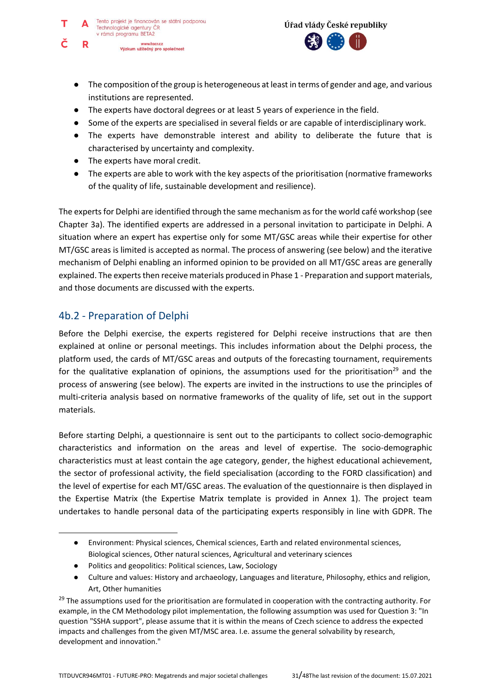- The composition of the group is heterogeneous at least in terms of gender and age, and various institutions are represented.
- The experts have doctoral degrees or at least 5 years of experience in the field.
- Some of the experts are specialised in several fields or are capable of interdisciplinary work.
- The experts have demonstrable interest and ability to deliberate the future that is characterised by uncertainty and complexity.
- The experts have moral credit.
- The experts are able to work with the key aspects of the prioritisation (normative frameworks of the quality of life, sustainable development and resilience).

The experts for Delphi are identified through the same mechanism as for the world café workshop (see Chapter 3a). The identified experts are addressed in a personal invitation to participate in Delphi. A situation where an expert has expertise only for some MT/GSC areas while their expertise for other MT/GSC areas is limited is accepted as normal. The process of answering (see below) and the iterative mechanism of Delphi enabling an informed opinion to be provided on all MT/GSC areas are generally explained. The experts then receive materials produced in Phase 1 - Preparation and support materials, and those documents are discussed with the experts.

#### <span id="page-30-0"></span>4b.2 - Preparation of Delphi

Before the Delphi exercise, the experts registered for Delphi receive instructions that are then explained at online or personal meetings. This includes information about the Delphi process, the platform used, the cards of MT/GSC areas and outputs of the forecasting tournament, requirements for the qualitative explanation of opinions, the assumptions used for the prioritisation<sup>29</sup> and the process of answering (see below). The experts are invited in the instructions to use the principles of multi-criteria analysis based on normative frameworks of the quality of life, set out in the support materials.

Before starting Delphi, a questionnaire is sent out to the participants to collect socio-demographic characteristics and information on the areas and level of expertise. The socio-demographic characteristics must at least contain the age category, gender, the highest educational achievement, the sector of professional activity, the field specialisation (according to the FORD classification) and the level of expertise for each MT/GSC areas. The evaluation of the questionnaire is then displayed in the Expertise Matrix (the Expertise Matrix template is provided in Annex 1). The project team undertakes to handle personal data of the participating experts responsibly in line with GDPR. The

- Politics and geopolitics: Political sciences, Law, Sociology
- Culture and values: History and archaeology, Languages and literature, Philosophy, ethics and religion, Art, Other humanities

<sup>●</sup> Environment: Physical sciences, Chemical sciences, Earth and related environmental sciences, Biological sciences, Other natural sciences, Agricultural and veterinary sciences

 $29$  The assumptions used for the prioritisation are formulated in cooperation with the contracting authority. For example, in the CM Methodology pilot implementation, the following assumption was used for Question 3: "In question "SSHA support", please assume that it is within the means of Czech science to address the expected impacts and challenges from the given MT/MSC area. I.e. assume the general solvability by research, development and innovation."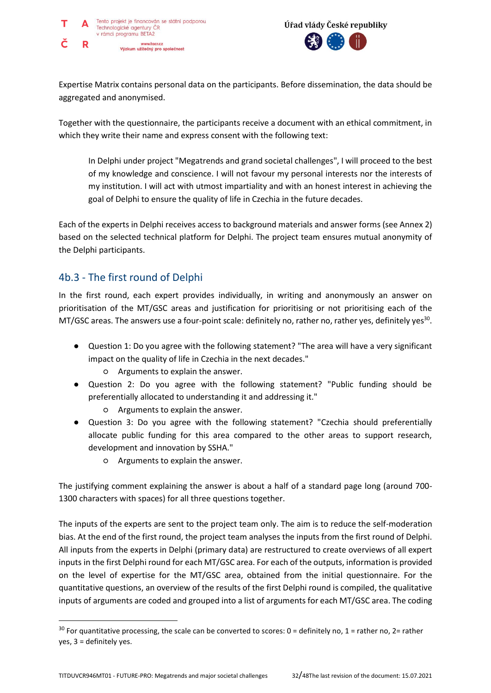Expertise Matrix contains personal data on the participants. Before dissemination, the data should be aggregated and anonymised.

Together with the questionnaire, the participants receive a document with an ethical commitment, in which they write their name and express consent with the following text:

In Delphi under project "Megatrends and grand societal challenges", I will proceed to the best of my knowledge and conscience. I will not favour my personal interests nor the interests of my institution. I will act with utmost impartiality and with an honest interest in achieving the goal of Delphi to ensure the quality of life in Czechia in the future decades.

Each of the experts in Delphi receives access to background materials and answer forms (see Annex 2) based on the selected technical platform for Delphi. The project team ensures mutual anonymity of the Delphi participants.

### <span id="page-31-0"></span>4b.3 - The first round of Delphi

In the first round, each expert provides individually, in writing and anonymously an answer on prioritisation of the MT/GSC areas and justification for prioritising or not prioritising each of the MT/GSC areas. The answers use a four-point scale: definitely no, rather no, rather yes, definitely yes<sup>30</sup>.

- Question 1: Do you agree with the following statement? "The area will have a very significant impact on the quality of life in Czechia in the next decades."
	- Arguments to explain the answer.
- Question 2: Do you agree with the following statement? "Public funding should be preferentially allocated to understanding it and addressing it."
	- Arguments to explain the answer.
- Question 3: Do you agree with the following statement? "Czechia should preferentially allocate public funding for this area compared to the other areas to support research, development and innovation by SSHA."
	- Arguments to explain the answer.

The justifying comment explaining the answer is about a half of a standard page long (around 700- 1300 characters with spaces) for all three questions together.

The inputs of the experts are sent to the project team only. The aim is to reduce the self-moderation bias. At the end of the first round, the project team analyses the inputs from the first round of Delphi. All inputs from the experts in Delphi (primary data) are restructured to create overviews of all expert inputs in the first Delphi round for each MT/GSC area. For each of the outputs, information is provided on the level of expertise for the MT/GSC area, obtained from the initial questionnaire. For the quantitative questions, an overview of the results of the first Delphi round is compiled, the qualitative inputs of arguments are coded and grouped into a list of arguments for each MT/GSC area. The coding

<sup>&</sup>lt;sup>30</sup> For quantitative processing, the scale can be converted to scores:  $0 =$  definitely no,  $1 =$  rather no,  $2 =$  rather yes, 3 = definitely yes.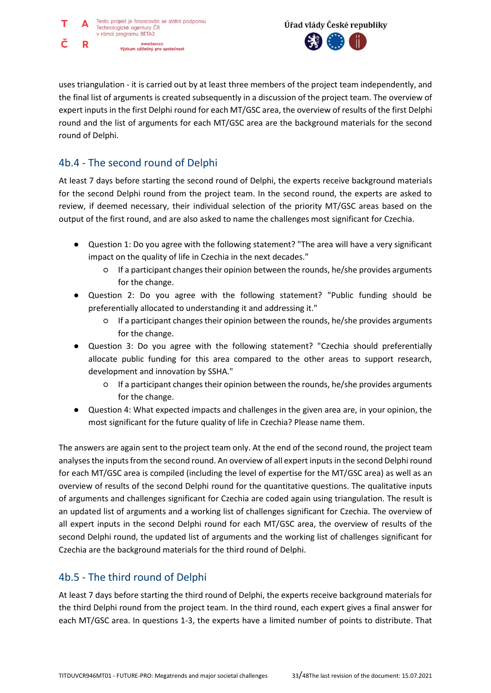Úřad vlády České republiky

uses triangulation - it is carried out by at least three members of the project team independently, and the final list of arguments is created subsequently in a discussion of the project team. The overview of expert inputs in the first Delphi round for each MT/GSC area, the overview of results of the first Delphi round and the list of arguments for each MT/GSC area are the background materials for the second round of Delphi.

### <span id="page-32-0"></span>4b.4 - The second round of Delphi

At least 7 days before starting the second round of Delphi, the experts receive background materials for the second Delphi round from the project team. In the second round, the experts are asked to review, if deemed necessary, their individual selection of the priority MT/GSC areas based on the output of the first round, and are also asked to name the challenges most significant for Czechia.

- Question 1: Do you agree with the following statement? "The area will have a very significant impact on the quality of life in Czechia in the next decades."
	- If a participant changes their opinion between the rounds, he/she provides arguments for the change.
- Question 2: Do you agree with the following statement? "Public funding should be preferentially allocated to understanding it and addressing it."
	- If a participant changes their opinion between the rounds, he/she provides arguments for the change.
- Question 3: Do you agree with the following statement? "Czechia should preferentially allocate public funding for this area compared to the other areas to support research, development and innovation by SSHA."
	- If a participant changes their opinion between the rounds, he/she provides arguments for the change.
- Question 4: What expected impacts and challenges in the given area are, in your opinion, the most significant for the future quality of life in Czechia? Please name them.

The answers are again sent to the project team only. At the end of the second round, the project team analyses the inputs from the second round. An overview of all expert inputs in the second Delphi round for each MT/GSC area is compiled (including the level of expertise for the MT/GSC area) as well as an overview of results of the second Delphi round for the quantitative questions. The qualitative inputs of arguments and challenges significant for Czechia are coded again using triangulation. The result is an updated list of arguments and a working list of challenges significant for Czechia. The overview of all expert inputs in the second Delphi round for each MT/GSC area, the overview of results of the second Delphi round, the updated list of arguments and the working list of challenges significant for Czechia are the background materials for the third round of Delphi.

### <span id="page-32-1"></span>4b.5 - The third round of Delphi

At least 7 days before starting the third round of Delphi, the experts receive background materials for the third Delphi round from the project team. In the third round, each expert gives a final answer for each MT/GSC area. In questions 1-3, the experts have a limited number of points to distribute. That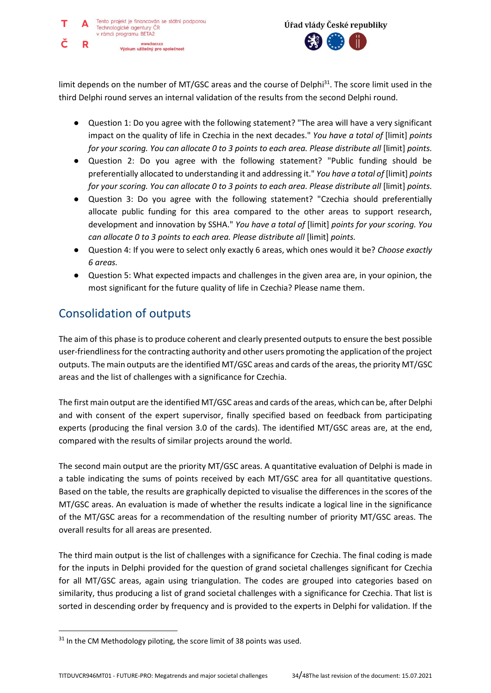

limit depends on the number of MT/GSC areas and the course of Delphi $31$ . The score limit used in the third Delphi round serves an internal validation of the results from the second Delphi round.

- Question 1: Do you agree with the following statement? "The area will have a very significant impact on the quality of life in Czechia in the next decades." *You have a total of* [limit] *points for your scoring. You can allocate 0 to 3 points to each area. Please distribute all [limit] points.*
- Question 2: Do you agree with the following statement? "Public funding should be preferentially allocated to understanding it and addressing it." *You have a total of* [limit] *points for your scoring. You can allocate 0 to 3 points to each area. Please distribute all [limit] points.*
- Question 3: Do you agree with the following statement? "Czechia should preferentially allocate public funding for this area compared to the other areas to support research, development and innovation by SSHA." *You have a total of* [limit] *points for your scoring. You can allocate 0 to 3 points to each area. Please distribute all* [limit] *points.*
- Question 4: If you were to select only exactly 6 areas, which ones would it be? *Choose exactly 6 areas.*
- Question 5: What expected impacts and challenges in the given area are, in your opinion, the most significant for the future quality of life in Czechia? Please name them.

# <span id="page-33-0"></span>Consolidation of outputs

The aim of this phase is to produce coherent and clearly presented outputs to ensure the best possible user-friendliness for the contracting authority and other users promoting the application of the project outputs. The main outputs are the identified MT/GSC areas and cards of the areas, the priority MT/GSC areas and the list of challenges with a significance for Czechia.

The first main output are the identified MT/GSC areas and cards of the areas, which can be, after Delphi and with consent of the expert supervisor, finally specified based on feedback from participating experts (producing the final version 3.0 of the cards). The identified MT/GSC areas are, at the end, compared with the results of similar projects around the world.

The second main output are the priority MT/GSC areas. A quantitative evaluation of Delphi is made in a table indicating the sums of points received by each MT/GSC area for all quantitative questions. Based on the table, the results are graphically depicted to visualise the differences in the scores of the MT/GSC areas. An evaluation is made of whether the results indicate a logical line in the significance of the MT/GSC areas for a recommendation of the resulting number of priority MT/GSC areas. The overall results for all areas are presented.

The third main output is the list of challenges with a significance for Czechia. The final coding is made for the inputs in Delphi provided for the question of grand societal challenges significant for Czechia for all MT/GSC areas, again using triangulation. The codes are grouped into categories based on similarity, thus producing a list of grand societal challenges with a significance for Czechia. That list is sorted in descending order by frequency and is provided to the experts in Delphi for validation. If the

 $31$  In the CM Methodology piloting, the score limit of 38 points was used.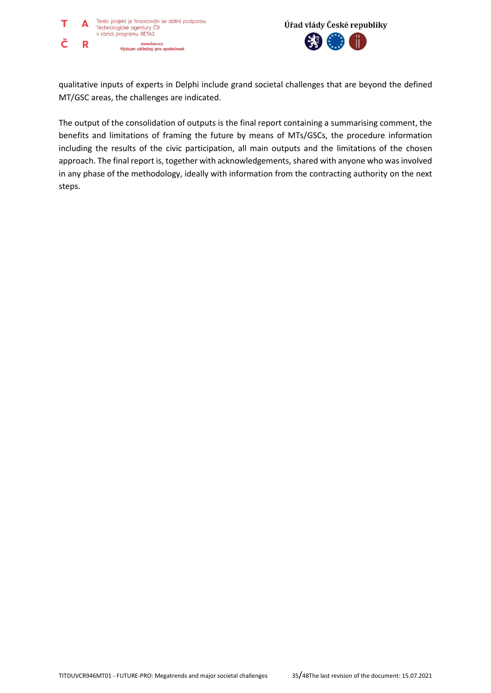



qualitative inputs of experts in Delphi include grand societal challenges that are beyond the defined MT/GSC areas, the challenges are indicated.

The output of the consolidation of outputs is the final report containing a summarising comment, the benefits and limitations of framing the future by means of MTs/GSCs, the procedure information including the results of the civic participation, all main outputs and the limitations of the chosen approach. The final report is, together with acknowledgements, shared with anyone who was involved in any phase of the methodology, ideally with information from the contracting authority on the next steps.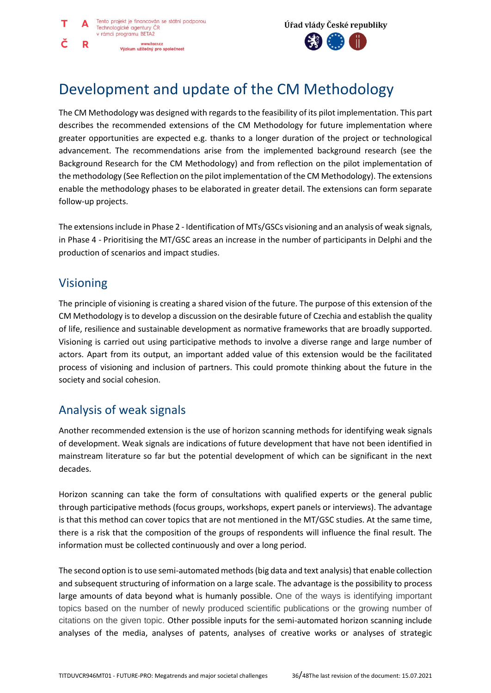# <span id="page-35-0"></span>Development and update of the CM Methodology

The CM Methodology was designed with regards to the feasibility of its pilot implementation. This part describes the recommended extensions of the CM Methodology for future implementation where greater opportunities are expected e.g. thanks to a longer duration of the project or technological advancement. The recommendations arise from the implemented background research (see the Background Research for the CM Methodology) and from reflection on the pilot implementation of the methodology (See Reflection on the pilot implementation of the CM Methodology). The extensions enable the methodology phases to be elaborated in greater detail. The extensions can form separate follow-up projects.

The extensions include in Phase 2 - Identification of MTs/GSCs visioning and an analysis of weak signals, in Phase 4 - Prioritising the MT/GSC areas an increase in the number of participants in Delphi and the production of scenarios and impact studies.

### <span id="page-35-1"></span>Visioning

The principle of visioning is creating a shared vision of the future. The purpose of this extension of the CM Methodology is to develop a discussion on the desirable future of Czechia and establish the quality of life, resilience and sustainable development as normative frameworks that are broadly supported. Visioning is carried out using participative methods to involve a diverse range and large number of actors. Apart from its output, an important added value of this extension would be the facilitated process of visioning and inclusion of partners. This could promote thinking about the future in the society and social cohesion.

### <span id="page-35-2"></span>Analysis of weak signals

Another recommended extension is the use of horizon scanning methods for identifying weak signals of development. Weak signals are indications of future development that have not been identified in mainstream literature so far but the potential development of which can be significant in the next decades.

Horizon scanning can take the form of consultations with qualified experts or the general public through participative methods (focus groups, workshops, expert panels or interviews). The advantage is that this method can cover topics that are not mentioned in the MT/GSC studies. At the same time, there is a risk that the composition of the groups of respondents will influence the final result. The information must be collected continuously and over a long period.

The second option is to use semi-automated methods (big data and text analysis) that enable collection and subsequent structuring of information on a large scale. The advantage is the possibility to process large amounts of data beyond what is humanly possible. One of the ways is identifying important topics based on the number of newly produced scientific publications or the growing number of citations on the given topic. Other possible inputs for the semi-automated horizon scanning include analyses of the media, analyses of patents, analyses of creative works or analyses of strategic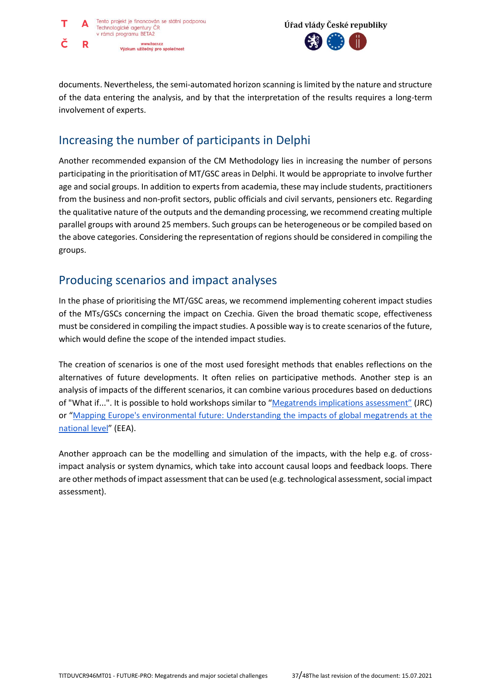Úřad vlády České republiky

documents. Nevertheless, the semi-automated horizon scanning is limited by the nature and structure of the data entering the analysis, and by that the interpretation of the results requires a long-term involvement of experts.

### <span id="page-36-0"></span>Increasing the number of participants in Delphi

Another recommended expansion of the CM Methodology lies in increasing the number of persons participating in the prioritisation of MT/GSC areas in Delphi. It would be appropriate to involve further age and social groups. In addition to experts from academia, these may include students, practitioners from the business and non-profit sectors, public officials and civil servants, pensioners etc. Regarding the qualitative nature of the outputs and the demanding processing, we recommend creating multiple parallel groups with around 25 members. Such groups can be heterogeneous or be compiled based on the above categories. Considering the representation of regions should be considered in compiling the groups.

### <span id="page-36-1"></span>Producing scenarios and impact analyses

In the phase of prioritising the MT/GSC areas, we recommend implementing coherent impact studies of the MTs/GSCs concerning the impact on Czechia. Given the broad thematic scope, effectiveness must be considered in compiling the impact studies. A possible way is to create scenarios of the future, which would define the scope of the intended impact studies.

The creation of scenarios is one of the most used foresight methods that enables reflections on the alternatives of future developments. It often relies on participative methods. Another step is an analysis of impacts of the different scenarios, it can combine various procedures based on deductions of "What if...". It is possible to hold workshops similar to ["Megatrends implications assessment"](https://knowledge4policy.ec.europa.eu/foresight/megatrends-implications-assessment-tool_en) (JRC) or "[Mapping Europe's environmental future:](https://www.eea.europa.eu/publications/mapping-europes-environmental-future-understanding) [Understanding the impacts of global megatrends at the](https://www.eea.europa.eu/publications/mapping-europes-environmental-future-understanding)  [national level](https://www.eea.europa.eu/publications/mapping-europes-environmental-future-understanding)" (EEA).

Another approach can be the modelling and simulation of the impacts, with the help e.g. of crossimpact analysis or system dynamics, which take into account causal loops and feedback loops. There are other methods of impact assessment that can be used (e.g. technological assessment, social impact assessment).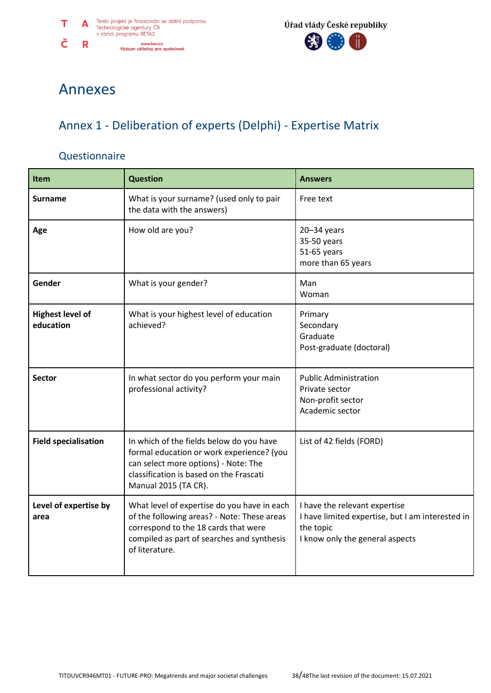

# <span id="page-37-0"></span>Annexes

# <span id="page-37-1"></span>Annex 1 - Deliberation of experts (Delphi) - Expertise Matrix

### <span id="page-37-2"></span>Questionnaire

| <b>Item</b>                          | <b>Question</b>                                                                                                                                                                                    | <b>Answers</b>                                                                                                                    |
|--------------------------------------|----------------------------------------------------------------------------------------------------------------------------------------------------------------------------------------------------|-----------------------------------------------------------------------------------------------------------------------------------|
| <b>Surname</b>                       | What is your surname? (used only to pair<br>the data with the answers)                                                                                                                             | Free text                                                                                                                         |
| Age                                  | How old are you?                                                                                                                                                                                   | $20 - 34$ years<br>35-50 years<br>51-65 years<br>more than 65 years                                                               |
| Gender                               | What is your gender?                                                                                                                                                                               | Man<br>Woman                                                                                                                      |
| <b>Highest level of</b><br>education | What is your highest level of education<br>achieved?                                                                                                                                               | Primary<br>Secondary<br>Graduate<br>Post-graduate (doctoral)                                                                      |
| <b>Sector</b>                        | In what sector do you perform your main<br>professional activity?                                                                                                                                  | <b>Public Administration</b><br>Private sector<br>Non-profit sector<br>Academic sector                                            |
| <b>Field specialisation</b>          | In which of the fields below do you have<br>formal education or work experience? (you<br>can select more options) - Note: The<br>classification is based on the Frascati<br>Manual 2015 (TA CR).   | List of 42 fields (FORD)                                                                                                          |
| Level of expertise by<br>area        | What level of expertise do you have in each<br>of the following areas? - Note: These areas<br>correspond to the 18 cards that were<br>compiled as part of searches and synthesis<br>of literature. | I have the relevant expertise<br>I have limited expertise, but I am interested in<br>the topic<br>I know only the general aspects |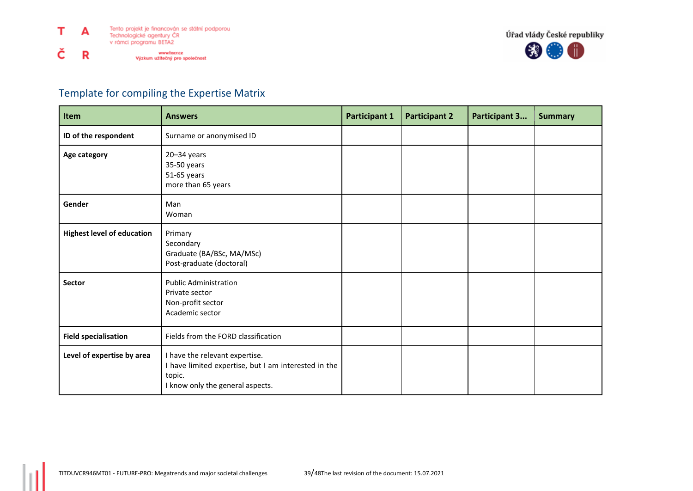

# Template for compiling the Expertise Matrix

<span id="page-38-0"></span>

| Item                              | <b>Answers</b>                                                                                                                       | <b>Participant 1</b> | <b>Participant 2</b> | <b>Participant 3</b> | <b>Summary</b> |
|-----------------------------------|--------------------------------------------------------------------------------------------------------------------------------------|----------------------|----------------------|----------------------|----------------|
| ID of the respondent              | Surname or anonymised ID                                                                                                             |                      |                      |                      |                |
| Age category                      | $20 - 34$ years<br>35-50 years<br>51-65 years<br>more than 65 years                                                                  |                      |                      |                      |                |
| Gender                            | Man<br>Woman                                                                                                                         |                      |                      |                      |                |
| <b>Highest level of education</b> | Primary<br>Secondary<br>Graduate (BA/BSc, MA/MSc)<br>Post-graduate (doctoral)                                                        |                      |                      |                      |                |
| Sector                            | <b>Public Administration</b><br>Private sector<br>Non-profit sector<br>Academic sector                                               |                      |                      |                      |                |
| <b>Field specialisation</b>       | Fields from the FORD classification                                                                                                  |                      |                      |                      |                |
| Level of expertise by area        | I have the relevant expertise.<br>I have limited expertise, but I am interested in the<br>topic.<br>I know only the general aspects. |                      |                      |                      |                |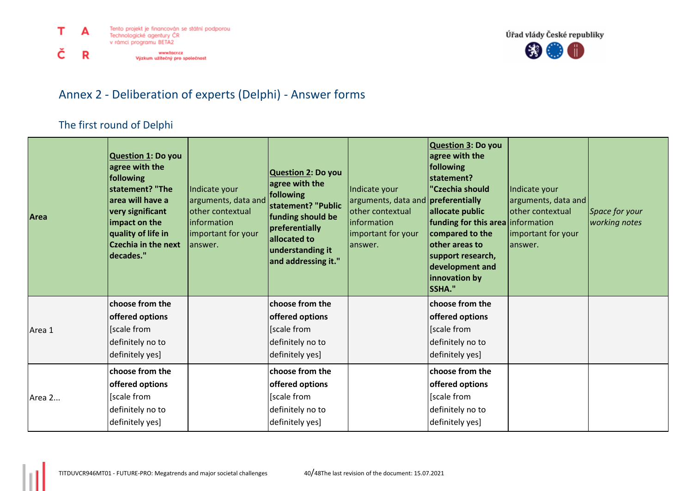

# Annex 2 - Deliberation of experts (Delphi) - Answer forms

### The first round of Delphi

<span id="page-39-1"></span><span id="page-39-0"></span>

| <b>Area</b> | <b>Question 1: Do you</b><br>agree with the<br>following<br>statement? "The<br>larea will have a<br>very significant<br>impact on the<br>quality of life in<br><b>Czechia in the next</b><br>decades." | Indicate your<br>arguments, data and<br>other contextual<br>information<br>important for your<br>answer. | <b>Question 2: Do you</b><br>agree with the<br>following<br>statement? "Public<br>funding should be<br>preferentially<br>allocated to<br>understanding it<br>and addressing it." | Indicate your<br>arguments, data and <b>preferentially</b><br>other contextual<br><i>linformation</i><br>important for your<br>lanswer. | <b>Question 3: Do you</b><br>agree with the<br>following<br>statement?<br>"Czechia should<br>allocate public<br>funding for this area information<br>compared to the<br>other areas to<br>support research,<br>development and<br>innovation by<br><b>SSHA."</b> | Indicate your<br>arguments, data and<br>other contextual<br>important for your<br>lanswer. | Space for your<br>working notes |
|-------------|--------------------------------------------------------------------------------------------------------------------------------------------------------------------------------------------------------|----------------------------------------------------------------------------------------------------------|----------------------------------------------------------------------------------------------------------------------------------------------------------------------------------|-----------------------------------------------------------------------------------------------------------------------------------------|------------------------------------------------------------------------------------------------------------------------------------------------------------------------------------------------------------------------------------------------------------------|--------------------------------------------------------------------------------------------|---------------------------------|
| Area 1      | choose from the<br>offered options<br>[scale from<br>definitely no to<br>definitely yes]                                                                                                               |                                                                                                          | choose from the<br>offered options<br>[scale from<br>definitely no to<br>definitely yes]                                                                                         |                                                                                                                                         | choose from the<br>offered options<br>[scale from<br>definitely no to<br>definitely yes]                                                                                                                                                                         |                                                                                            |                                 |
| Area 2      | choose from the<br>offered options<br>[scale from<br>definitely no to<br>definitely yes]                                                                                                               |                                                                                                          | choose from the<br>offered options<br>[scale from<br>definitely no to<br>definitely yes]                                                                                         |                                                                                                                                         | choose from the<br>offered options<br>[scale from<br>definitely no to<br>definitely yes]                                                                                                                                                                         |                                                                                            |                                 |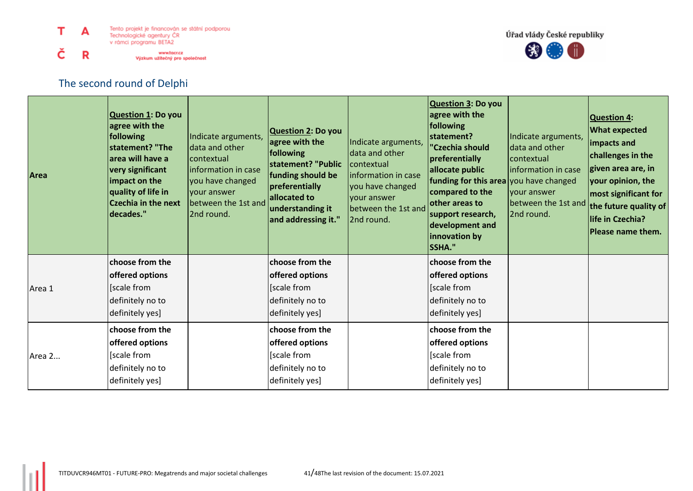

Výzkum užitečný pro společnost

# Úřad vlády České republiky 800

# The second round of Delphi

<span id="page-40-0"></span>

| <b>Area</b> | <b>Question 1: Do you</b><br>agree with the<br>following<br>statement? "The<br>area will have a<br>very significant<br>impact on the<br>quality of life in<br><b>Czechia in the next</b><br>decades." | Indicate arguments,<br>data and other<br>contextual<br>information in case<br>you have changed<br>vour answer<br>between the 1st and<br>2nd round. | Question 2: Do you<br>agree with the<br>following<br>statement? "Public<br>funding should be<br>preferentially<br>allocated to<br>understanding it<br>and addressing it." | Indicate arguments,<br>data and other<br>contextual<br>information in case<br>you have changed<br>vour answer<br>between the 1st and<br>2nd round. | <b>Question 3: Do you</b><br>agree with the<br>following<br>statement?<br>"Czechia should<br>preferentially<br>allocate public<br>funding for this area you have changed<br>compared to the<br>other areas to<br>support research,<br>development and<br>innovation by<br>SSHA." | Indicate arguments,<br>data and other<br>contextual<br>linformation in case<br>Ivour answer<br>between the 1st and<br>2nd round. | Question 4:<br><b>What expected</b><br>impacts and<br>challenges in the<br>given area are, in<br>your opinion, the<br>most significant for<br>the future quality of<br>life in Czechia?<br>Please name them. |
|-------------|-------------------------------------------------------------------------------------------------------------------------------------------------------------------------------------------------------|----------------------------------------------------------------------------------------------------------------------------------------------------|---------------------------------------------------------------------------------------------------------------------------------------------------------------------------|----------------------------------------------------------------------------------------------------------------------------------------------------|----------------------------------------------------------------------------------------------------------------------------------------------------------------------------------------------------------------------------------------------------------------------------------|----------------------------------------------------------------------------------------------------------------------------------|--------------------------------------------------------------------------------------------------------------------------------------------------------------------------------------------------------------|
| Area 1      | choose from the<br>offered options<br>[scale from<br>definitely no to<br>definitely yes]                                                                                                              |                                                                                                                                                    | choose from the<br>offered options<br>[scale from<br>definitely no to<br>definitely yes]                                                                                  |                                                                                                                                                    | choose from the<br>offered options<br>[scale from<br>definitely no to<br>definitely yes]                                                                                                                                                                                         |                                                                                                                                  |                                                                                                                                                                                                              |
| Area 2      | choose from the<br>offered options<br>[scale from<br>definitely no to<br>definitely yes]                                                                                                              |                                                                                                                                                    | choose from the<br>offered options<br>[scale from<br>definitely no to<br>definitely yes]                                                                                  |                                                                                                                                                    | choose from the<br>offered options<br>[scale from<br>definitely no to<br>definitely yes]                                                                                                                                                                                         |                                                                                                                                  |                                                                                                                                                                                                              |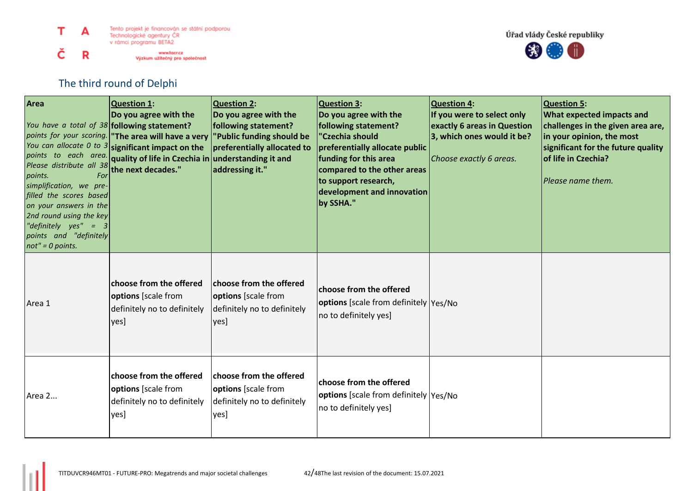

Výzkum užitečný pro společnost



# The third round of Delphi

<span id="page-41-0"></span>

| <b>Area</b><br>Please distribute all 38<br>For<br>points.<br>simplification, we pre-<br>filled the scores based<br>on your answers in the<br>2nd round using the key<br>"definitely yes" =<br>- 3<br>points and "definitely<br>$not'' = 0$ points. | Question 1:<br>Do you agree with the<br>You have a total of 38 <b>following statement?</b><br>points for your scoring. "The area will have a very  '<br>You can allocate 0 to $3$ significant impact on the<br>points to each area. quality of life in Czechia in<br>the next decades." | Question 2:<br>Do you agree with the<br>following statement?<br>'Public funding should be<br>preferentially allocated to<br>understanding it and<br>addressing it." | Question 3:<br>Do you agree with the<br>following statement?<br>"Czechia should<br>preferentially allocate public<br>funding for this area<br>compared to the other areas<br>to support research,<br>development and innovation<br>by SSHA." | Question 4:<br>If you were to select only<br>exactly 6 areas in Question<br>3, which ones would it be?<br>Choose exactly 6 areas. | <b>Question 5:</b><br>What expected impacts and<br>challenges in the given area are,<br>in your opinion, the most<br>significant for the future quality<br>of life in Czechia?<br>Please name them. |
|----------------------------------------------------------------------------------------------------------------------------------------------------------------------------------------------------------------------------------------------------|-----------------------------------------------------------------------------------------------------------------------------------------------------------------------------------------------------------------------------------------------------------------------------------------|---------------------------------------------------------------------------------------------------------------------------------------------------------------------|----------------------------------------------------------------------------------------------------------------------------------------------------------------------------------------------------------------------------------------------|-----------------------------------------------------------------------------------------------------------------------------------|-----------------------------------------------------------------------------------------------------------------------------------------------------------------------------------------------------|
| Area 1                                                                                                                                                                                                                                             | choose from the offered<br>options [scale from<br>definitely no to definitely<br>yes]                                                                                                                                                                                                   | choose from the offered<br>options [scale from<br>definitely no to definitely<br>yes]                                                                               | choose from the offered<br>options [scale from definitely   Yes/No<br>no to definitely yes]                                                                                                                                                  |                                                                                                                                   |                                                                                                                                                                                                     |
| Area 2                                                                                                                                                                                                                                             | choose from the offered<br><b>options</b> [scale from<br>definitely no to definitely<br>yes]                                                                                                                                                                                            | choose from the offered<br>options [scale from<br>definitely no to definitely<br>yes]                                                                               | choose from the offered<br>options [scale from definitely Yes/No<br>no to definitely yes]                                                                                                                                                    |                                                                                                                                   |                                                                                                                                                                                                     |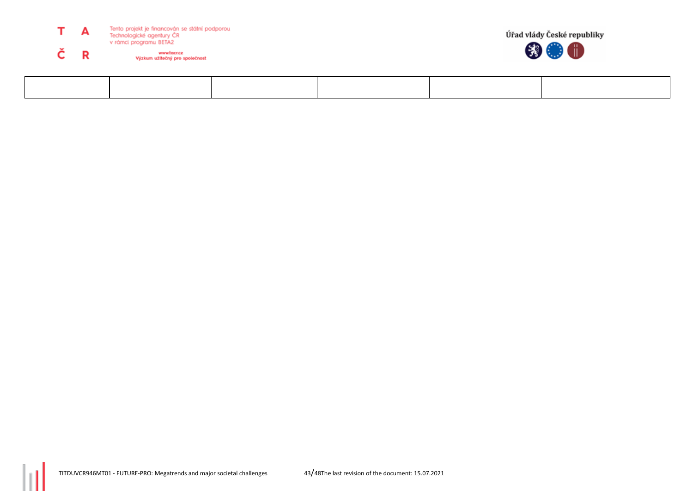

www.tacr.cz Výzkum užitečný pro společnost





|  |  | ,我们就是一个人的事情。""我们的事情,我们就是我们的事情。""我们的事情,我们就是我们的事情。""我们的事情,我们的事情,我们的事情,我们的事情,我们的事情, |
|--|--|----------------------------------------------------------------------------------|
|  |  |                                                                                  |
|  |  |                                                                                  |
|  |  |                                                                                  |
|  |  |                                                                                  |
|  |  |                                                                                  |
|  |  |                                                                                  |
|  |  |                                                                                  |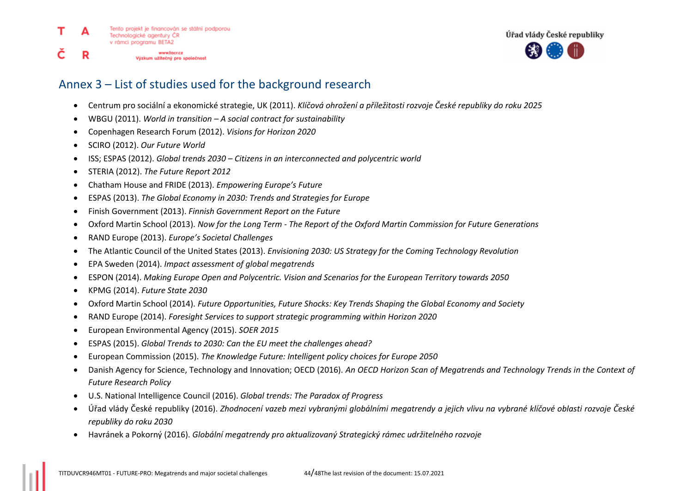



### Annex 3 – List of studies used for the background research

- Centrum pro sociální a ekonomické strategie, UK (2011). *Klíčová ohrožení a příležitosti rozvoje České republiky do roku 2025*
- WBGU (2011). *World in transition – A social contract for sustainability*
- Copenhagen Research Forum (2012). *Visions for Horizon 2020*
- SCIRO (2012). *Our Future World*
- ISS; ESPAS (2012). *Global trends 2030 – Citizens in an interconnected and polycentric world*
- STERIA (2012). *The Future Report 2012*
- Chatham House and FRIDE (2013). *Empowering Europe's Future*
- ESPAS (2013). *The Global Economy in 2030: Trends and Strategies for Europe*
- Finish Government (2013). *Finnish Government Report on the Future*
- Oxford Martin School (2013). *Now for the Long Term - The Report of the Oxford Martin Commission for Future Generations*
- RAND Europe (2013). *Europe's Societal Challenges*
- The Atlantic Council of the United States (2013). *Envisioning 2030: US Strategy for the Coming Technology Revolution*
- EPA Sweden (2014). *Impact assessment of global megatrends*
- ESPON (2014). *Making Europe Open and Polycentric. Vision and Scenarios for the European Territory towards 2050*
- KPMG (2014). *Future State 2030*
- Oxford Martin School (2014). *Future Opportunities, Future Shocks: Key Trends Shaping the Global Economy and Society*
- RAND Europe (2014). *Foresight Services to support strategic programming within Horizon 2020*
- European Environmental Agency (2015). *SOER 2015*
- ESPAS (2015). *Global Trends to 2030: Can the EU meet the challenges ahead?*
- European Commission (2015). *The Knowledge Future: Intelligent policy choices for Europe 2050*
- Danish Agency for Science, Technology and Innovation; OECD (2016). *An OECD Horizon Scan of Megatrends and Technology Trends in the Context of Future Research Policy*
- U.S. National Intelligence Council (2016). *Global trends: The Paradox of Progress*
- Úřad vlády České republiky (2016). *Zhodnocení vazeb mezi vybranými globálními megatrendy a jejich vlivu na vybrané klíčové oblasti rozvoje České republiky do roku 2030*
- Havránek a Pokorný (2016). *Globální megatrendy pro aktualizovaný Strategický rámec udržitelného rozvoje*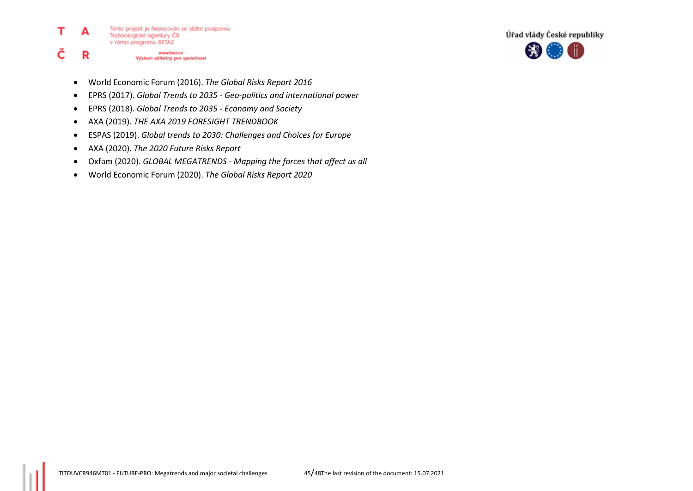

- World Economic Forum (2016). *The Global Risks Report 2016*
- EPRS (2017). *Global Trends to 2035 - Geo-politics and international power*
- EPRS (2018). *Global Trends to 2035 - Economy and Society*
- AXA (2019). *THE AXA 2019 FORESIGHT TRENDBOOK*
- ESPAS (2019). *Global trends to 2030: Challenges and Choices for Europe*
- AXA (2020). *The 2020 Future Risks Report*
- Oxfam (2020). *GLOBAL MEGATRENDS - Mapping the forces that affect us all*
- World Economic Forum (2020). *The Global Risks Report 2020*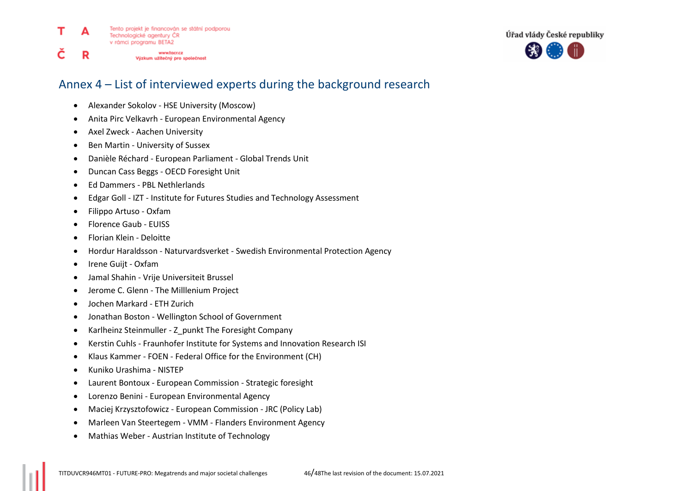### Annex 4 – List of interviewed experts during the background research

- Alexander Sokolov HSE University (Moscow)
- Anita Pirc Velkavrh European Environmental Agency
- Axel Zweck Aachen University
- Ben Martin University of Sussex
- Danièle Réchard European Parliament Global Trends Unit
- Duncan Cass Beggs OECD Foresight Unit
- Ed Dammers PBL Nethlerlands
- Edgar Goll IZT Institute for Futures Studies and Technology Assessment
- Filippo Artuso Oxfam
- Florence Gaub EUISS
- Florian Klein Deloitte
- Hordur Haraldsson Naturvardsverket Swedish Environmental Protection Agency
- Irene Guijt Oxfam
- Jamal Shahin Vrije Universiteit Brussel
- Jerome C. Glenn The Milllenium Project
- Jochen Markard ETH Zurich
- Jonathan Boston Wellington School of Government
- Karlheinz Steinmuller Z\_punkt The Foresight Company
- Kerstin Cuhls Fraunhofer Institute for Systems and Innovation Research ISI
- Klaus Kammer FOEN Federal Office for the Environment (CH)
- Kuniko Urashima NISTEP
- Laurent Bontoux European Commission Strategic foresight
- Lorenzo Benini European Environmental Agency
- Maciej Krzysztofowicz European Commission JRC (Policy Lab)
- Marleen Van Steertegem VMM Flanders Environment Agency
- Mathias Weber Austrian Institute of Technology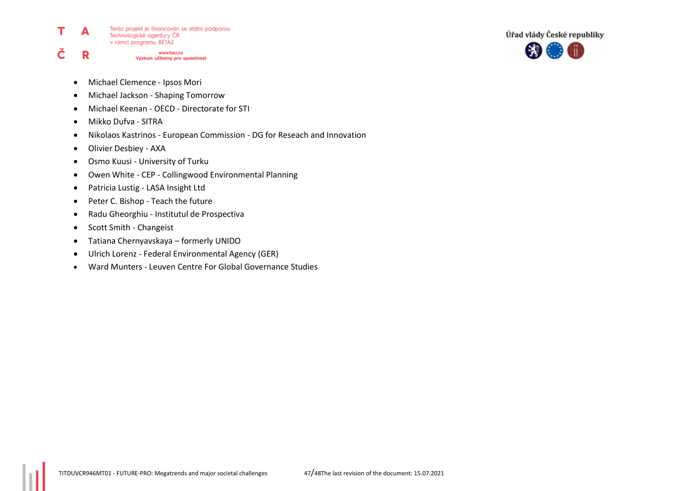- Michael Clemence Ipsos Mori
- Michael Jackson Shaping Tomorrow
- Michael Keenan OECD Directorate for STI
- Mikko Dufva SITRA
- Nikolaos Kastrinos European Commission DG for Reseach and Innovation
- Olivier Desbiey AXA
- Osmo Kuusi University of Turku
- Owen White CEP Collingwood Environmental Planning
- Patricia Lustig LASA Insight Ltd
- Peter C. Bishop Teach the future
- Radu Gheorghiu Institutul de Prospectiva
- Scott Smith Changeist
- Tatiana Chernyavskaya formerly UNIDO
- Ulrich Lorenz Federal Environmental Agency (GER)
- Ward Munters Leuven Centre For Global Governance Studies